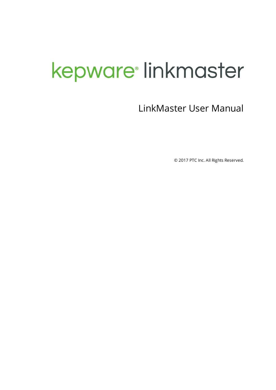# <span id="page-0-0"></span>kepware<sup>®</sup> linkmaster

LinkMaster User Manual

© 2017 PTC Inc. All Rights Reserved.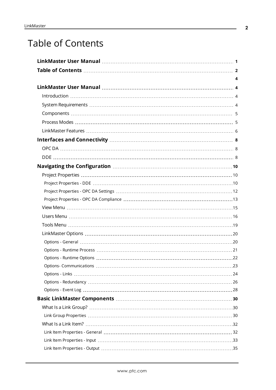# <span id="page-1-0"></span>Table of Contents

| 4 |  |
|---|--|
|   |  |
|   |  |
|   |  |
|   |  |
|   |  |
|   |  |
|   |  |
|   |  |
|   |  |
|   |  |
|   |  |
|   |  |
|   |  |
|   |  |
|   |  |
|   |  |
|   |  |
|   |  |
|   |  |
|   |  |
|   |  |
|   |  |
|   |  |
|   |  |
|   |  |
|   |  |
|   |  |
|   |  |
|   |  |
|   |  |
|   |  |
|   |  |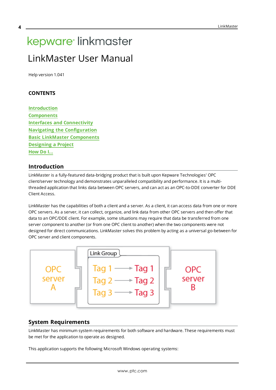# <span id="page-3-1"></span><span id="page-3-0"></span>kepware<sup>®</sup> linkmaster LinkMaster User Manual

Help version 1.041

#### **CONTENTS**

**[Introduction](#page-3-2) [Components](#page-4-0) Interfaces and [Connectivity](#page-7-0) Navigating the [Configuration](#page-9-0) Basic LinkMaster [Components](#page-29-0) [Designing](#page-44-0) a Project [How](#page-54-0) Do I...**

#### <span id="page-3-2"></span>**Introduction**

LinkMaster is a fully-featured data-bridging product that is built upon Kepware Technologies' OPC client/server technology and demonstrates unparalleled compatibility and performance. It is a multithreaded application that links data between OPC servers, and can act as an OPC-to-DDE converter for DDE Client Access.

LinkMaster has the capabilities of both a client and a server. As a client, it can access data from one or more OPC servers. As a server, it can collect, organize, and link data from other OPC servers and then offer that data to an OPC/DDE client. For example, some situations may require that data be transferred from one server component to another (or from one OPC client to another) when the two components were not designed for direct communications. LinkMaster solves this problem by acting as a universal go-between for OPC server and client components.



#### <span id="page-3-3"></span>**System Requirements**

LinkMaster has minimum system requirements for both software and hardware. These requirements must be met for the application to operate as designed.

This application supports the following Microsoft Windows operating systems: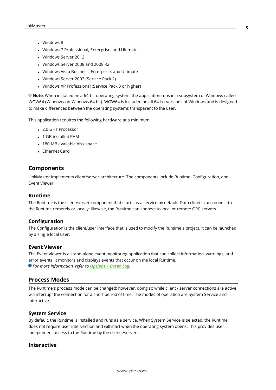- Windows 8
- Windows 7 Professional, Enterprise, and Ultimate
- Windows Server 2012
- Windows Server 2008 and 2008 R2
- Windows Vista Business, Enterprise, and Ultimate
- Windows Server 2003 (Service Pack 2)
- Windows XP Professional (Service Pack 3 or higher)

**Note**: When installed on a 64-bit operating system, the application runs in a subsystem of Windows called WOW64 (Windows-on-Windows 64 bit). WOW64 is included on all 64-bit versions of Windows and is designed to make differences between the operating systems transparent to the user.

This application requires the following hardware at a minimum:

- 2.0 GHz Processor
- <sup>l</sup> 1 GB installed RAM
- 180 MB available disk space
- Ethernet Card

#### <span id="page-4-0"></span>**Components**

LinkMaster implements client/server architecture. The components include Runtime, Configuration, and Event Viewer.

#### **Runtime**

The Runtime is the client/server component that starts as a service by default. Data clients can connect to the Runtime remotely or locally; likewise, the Runtime can connect to local or remote OPC servers.

#### **Configuration**

The Configuration is the client/user interface that is used to modify the Runtime's project. It can be launched by a single local user.

#### **Event Viewer**

The Event Viewer is a stand-alone event monitoring application that can collect information, warnings, and error events. It monitors and displays events that occur on the local Runtime. *For more information, refer to [Options](#page-27-0) - Event Log.*

#### <span id="page-4-1"></span>**Process Modes**

The Runtime's process mode can be changed; however, doing so while client / server connections are active will interrupt the connection for a short period of time. The modes of operation are System Service and Interactive.

#### **System Service**

By default, the Runtime is installed and runs as a service. When System Service is selected, the Runtime does not require user intervention and will start when the operating system opens. This provides user independent access to the Runtime by the clients/servers.

#### **Interactive**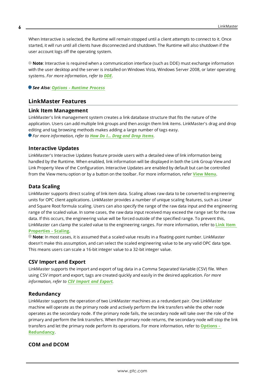When Interactive is selected, the Runtime will remain stopped until a client attempts to connect to it. Once started, it will run until all clients have disconnected and shutdown. The Runtime will also shutdown if the user account logs off the operating system.

**Note**: Interactive is required when a communication interface (such as DDE) must exchange information with the user desktop and the server is installed on Windows Vista, Windows Server 2008, or later operating systems. *For more information, refer to [DDE](#page-7-2).*

<span id="page-5-0"></span>*See Also: Options - [Runtime](#page-20-0) Process*

#### **LinkMaster Features**

#### **Link Item Management**

LinkMaster's link management system creates a link database structure that fits the nature of the application. Users can add multiple link groups and then assign them link items. LinkMaster's drag and drop editing and tag browsing methods makes adding a large number of tags easy. *For more information, refer to How Do I... Drag and Drop [Items](#page-55-0).*

#### **Interactive Updates**

LinkMaster's Interactive Updates feature provide users with a detailed view of link information being handled by the Runtime. When enabled, link information will be displayed in both the Link Group View and Link Property View of the Configuration. Interactive Updates are enabled by default but can be controlled from the View menu option or by a button on the toolbar. For more information, refer **View [Menu](#page-14-0)**.

#### <span id="page-5-2"></span>**Data Scaling**

LinkMaster supports direct scaling of link item data. Scaling allows raw data to be converted to engineering units for OPC client applications. LinkMaster provides a number of unique scaling features, such as Linear and Square Root formula scaling. Users can also specify the range of the raw data input and the engineering range of the scaled value. In some cases, the raw data input received may exceed the range set for the raw data. If this occurs, the engineering value will be forced outside of the specified range. To prevent this, LinkMaster can clamp the scaled value to the engineering ranges. For more information, refer to **Link [Item](#page-36-0) [Properties](#page-36-0) - Scaling**.

**Note**: In most cases, it is assumed that a scaled value results in a floating-point number. LinkMaster doesn't make this assumption, and can select the scaled engineering value to be any valid OPC data type. This means users can scale a 16-bit integer value to a 32-bit integer value.

#### **CSV Import and Export**

LinkMaster supports the import and export of tag data in a Comma Separated Variable (CSV) file. When using CSV import and export, tags are created quickly and easily in the desired application. *For more information, refer to CSV [Import](#page-37-0) and Export.*

#### **Redundancy**

LinkMaster supports the operation of two LinkMaster machines as a redundant pair. One LinkMaster machine will operate as the primary node and actively perform the link transfers while the other node operates as the secondary node. If the primary node fails, the secondary node will take over the role of the primary and perform the link transfers. When the primary node returns, the secondary node will stop the link transfers and let the primary node perform its operations. For more information, refer to **[Options](#page-25-0) - [Redundancy](#page-25-0)**.

#### <span id="page-5-1"></span>**COM and DCOM**

**6**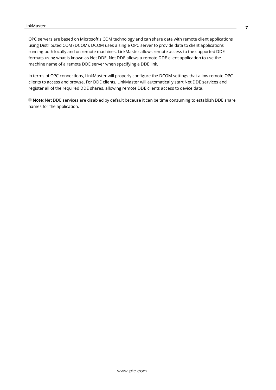OPC servers are based on Microsoft's COM technology and can share data with remote client applications using Distributed COM (DCOM). DCOM uses a single OPC server to provide data to client applications running both locally and on remote machines. LinkMaster allows remote access to the supported DDE formats using what is known as Net DDE. Net DDE allows a remote DDE client application to use the machine name of a remote DDE server when specifying a DDE link.

In terms of OPC connections, LinkMaster will properly configure the DCOM settings that allow remote OPC clients to access and browse. For DDE clients, LinkMaster will automatically start Net DDE services and register all of the required DDE shares, allowing remote DDE clients access to device data.

**Note**: Net DDE services are disabled by default because it can be time consuming to establish DDE share names for the application.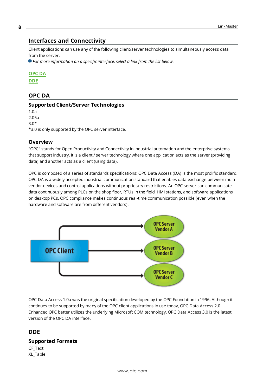#### <span id="page-7-0"></span>**Interfaces and Connectivity**

Client applications can use any of the following client/server technologies to simultaneously access data from the server.

*For more information on a specific interface, select a link from the list below.*

#### **[OPC](#page-7-1) DA**

<span id="page-7-1"></span>**[DDE](#page-7-2)**

#### **OPC DA**

#### **Supported Client/Server Technologies**

1.0a 2.05a 3.0\* \*3.0 is only supported by the OPC server interface.

#### **Overview**

"OPC" stands for Open Productivity and Connectivity in industrial automation and the enterprise systems that support industry. It is a client / server technology where one application acts as the server (providing data) and another acts as a client (using data).

OPC is composed of a series of standards specifications: OPC Data Access (DA) is the most prolific standard. OPC DA is a widely accepted industrial communication standard that enables data exchange between multivendor devices and control applications without proprietary restrictions. An OPC server can communicate data continuously among PLCs on the shop floor, RTUs in the field, HMI stations, and software applications on desktop PCs. OPC compliance makes continuous real-time communication possible (even when the hardware and software are from different vendors).



OPC Data Access 1.0a was the original specification developed by the OPC Foundation in 1996. Although it continues to be supported by many of the OPC client applications in use today, OPC Data Access 2.0 Enhanced OPC better utilizes the underlying Microsoft COM technology. OPC Data Access 3.0 is the latest version of the OPC DA interface.

#### <span id="page-7-2"></span>**DDE**

# **Supported Formats**

CF\_Text XL\_Table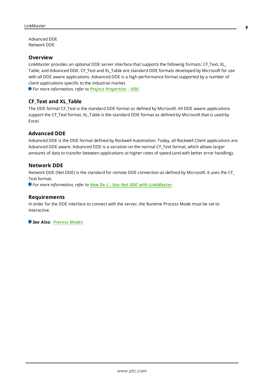Advanced DDE Network DDE

#### **Overview**

LinkMaster provides an optional DDE server interface that supports the following formats: CF\_Text, XL\_ Table, and Advanced DDE. CF\_Text and XL\_Table are standard DDE formats developed by Microsoft for use with all DDE aware applications. Advanced DDE is a high performance format supported by a number of client applications specific to the industrial market.

*For more information, refer to Project [Properties](#page-9-2) - DDE.*

#### **CF\_Text and XL\_Table**

The DDE format CF\_Text is the standard DDE format as defined by Microsoft. All DDE aware applications support the CF\_Text format. XL\_Table is the standard DDE format as defined by Microsoft that is used by Excel.

#### **Advanced DDE**

Advanced DDE is the DDE format defined by Rockwell Automation. Today, all Rockwell Client applications are Advanced DDE aware. Advanced DDE is a variation on the normal CF\_Text format, which allows larger amounts of data to transfer between applications at higher rates of speed (and with better error handling).

#### **Network DDE**

Network DDE (Net DDE) is the standard for remote DDE connection as defined by Microsoft. It uses the CF\_ Text format.

*For more information, refer to How Do I... Use Net DDE with [LinkMaster](#page-59-0).*

#### **Requirements**

In order for the DDE interface to connect with the server, the Runtime Process Mode must be set to Interactive.

*See Also: [Process](#page-4-1) Modes*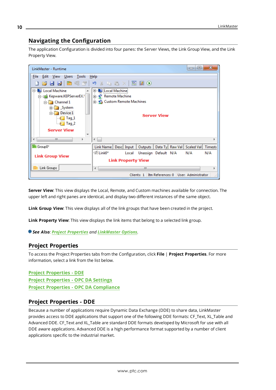# <span id="page-9-0"></span>**Navigating the Configuration**

The application Configuration is divided into four panes: the Server Views, the Link Group View, and the Link Property View.

| $\mathbf x$<br>$\Box$<br>$\Box$<br>LinkMaster - Runtime                                                                                                                            |                                                                                |  |
|------------------------------------------------------------------------------------------------------------------------------------------------------------------------------------|--------------------------------------------------------------------------------|--|
| File Edit View Users Tools                                                                                                                                                         | Help                                                                           |  |
| 1682 P 37                                                                                                                                                                          | ウメも追入 図図①                                                                      |  |
| <b>E</b> Local Machine<br>A.,                                                                                                                                                      | <b>E-L</b> Local Machine                                                       |  |
| □ Kepware.KEPServerEX.                                                                                                                                                             | <b>E-P</b> Remote Machine                                                      |  |
| <b>E</b> Channel 1                                                                                                                                                                 | <b>E</b> - <b>P</b> Custom Remote Machines                                     |  |
| E System<br>Device 1<br>$\epsilon$ Tag 1<br>$\blacksquare$ $\blacksquare$ $\blacksquare$ $\blacksquare$ $\blacksquare$ $\blacksquare$ $\blacksquare$ $\blacksquare$ $\blacksquare$ | <b>Server View</b>                                                             |  |
| <b>Server View</b><br>$\overline{\phantom{a}}$                                                                                                                                     |                                                                                |  |
| m.                                                                                                                                                                                 |                                                                                |  |
| Group0*                                                                                                                                                                            | Link Name   Desc   Input  <br>Data Ty Raw Val Scaled Val<br>Timesta<br>Outputs |  |
| <b>Link Group View</b>                                                                                                                                                             | ் Link0*<br>Unassign Default N/A<br>N/A<br>Local<br>N/A                        |  |
|                                                                                                                                                                                    | <b>Link Property View</b>                                                      |  |
| Link Groups                                                                                                                                                                        | ш<br>∢<br>Þ                                                                    |  |
|                                                                                                                                                                                    | Itm References: 0   User: Administrator<br>Clients: 1                          |  |

**Server View**: This view displays the Local, Remote, and Custom machines available for connection. The upper left and right panes are identical, and display two different instances of the same object.

**Link Group View**: This view displays all of the link groups that have been created in the project.

**Link Property View**: This view displays the link items that belong to a selected link group.

<span id="page-9-1"></span>*See Also: Project [Properties](#page-9-1) and [LinkMaster](#page-19-0) Options.*

#### **Project Properties**

To access the Project Properties tabs from the Configuration, click **File** | **Project Properties**. For more information, select a link from the list below.

**Project [Properties](#page-9-2) - DDE Project [Properties](#page-11-0) - OPC DA Settings Project Properties - OPC DA [Compliance](#page-12-0)**

#### <span id="page-9-2"></span>**Project Properties - DDE**

Because a number of applications require Dynamic Data Exchange (DDE) to share data, LinkMaster provides access to DDE applications that support one of the following DDE formats: CF\_Text, XL\_Table and Advanced DDE. CF\_Text and XL\_Table are standard DDE formats developed by Microsoft for use with all DDE aware applications. Advanced DDE is a high performance format supported by a number of client applications specific to the industrial market.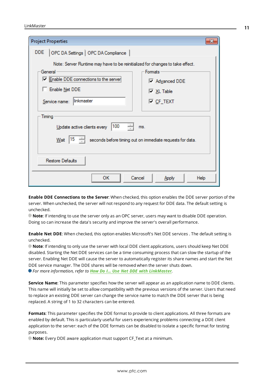| <b>Project Properties</b>                                                              | x                                                                |
|----------------------------------------------------------------------------------------|------------------------------------------------------------------|
| DDE.<br>OPC DA Settings   OPC DA Compliance                                            |                                                                  |
| Note: Server Runtime may have to be reinitialized for changes to take effect.          |                                                                  |
| General                                                                                | <b>Formats</b>                                                   |
| └ Enable DDE connections to                                                            | Madvanced DDE                                                    |
| Enable Net DDE                                                                         | <b>▽ XL Table</b>                                                |
| linkmaster<br>Service name:                                                            | l⊽ <u>C</u> F_TEXT                                               |
| Timing<br>100<br>Update active clients every<br> 15<br>Wait<br><b>Restore Defaults</b> | ms.<br>seconds before timing out on immediate requests for data. |
| <b>OK</b><br>Cancel                                                                    | Help<br>Apply                                                    |

**Enable DDE Connections to the Server**: When checked, this option enables the DDE server portion of the server. When unchecked, the server will not respond to any request for DDE data. The default setting is unchecked.

**Note**: If intending to use the server only as an OPC server, users may want to disable DDE operation. Doing so can increase the data's security and improve the server's overall performance.

**Enable Net DDE**: When checked, this option enables Microsoft's Net DDE services . The default setting is unchecked.

**Note**: If intending to only use the server with local DDE client applications, users should keep Net DDE disabled. Starting the Net DDE services can be a time consuming process that can slow the startup of the server. Enabling Net DDE will cause the server to automatically register its share names and start the Net DDE service manager. The DDE shares will be removed when the server shuts down. *For more information, refer to How Do I... Use Net DDE with [LinkMaster](#page-59-0).*

**Service Name**: This parameter specifies how the server will appear as an application name to DDE clients. This name will initially be set to allow compatibility with the previous versions of the server. Users that need to replace an existing DDE server can change the service name to match the DDE server that is being replaced. A string of 1 to 32 characters can be entered.

**Formats**: This parameter specifies the DDE format to provide to client applications. All three formats are enabled by default. This is particularly useful for users experiencing problems connecting a DDE client application to the server: each of the DDE formats can be disabled to isolate a specific format for testing purposes.

**Note:** Every DDE aware application must support CF\_Text at a minimum.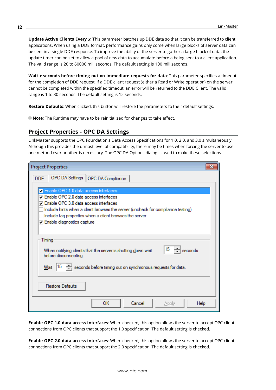**Update Active Clients Every** *x*: This parameter batches up DDE data so that it can be transferred to client applications. When using a DDE format, performance gains only come when large blocks of server data can be sent in a single DDE response. To improve the ability of the server to gather a large block of data, the update timer can be set to allow a pool of new data to accumulate before a being sent to a client application. The valid range is 20 to 60000 milliseconds. The default setting is 100 milliseconds.

**Wait** *x* **seconds before timing out on immediate requests for data**: This parameter specifies a timeout for the completion of DDE request. If a DDE client request (either a Read or Write operation) on the server cannot be completed within the specified timeout, an error will be returned to the DDE Client. The valid range is 1 to 30 seconds. The default setting is 15 seconds.

**Restore Defaults**: When clicked, this button will restore the parameters to their default settings.

<span id="page-11-0"></span>**Note:** The Runtime may have to be reinitialized for changes to take effect.

# **Project Properties - OPC DA Settings**

LinkMaster supports the OPC Foundation's Data Access Specifications for 1.0, 2.0, and 3.0 simultaneously. Although this provides the utmost level of compatibility, there may be times when forcing the server to use one method over another is necessary. The OPC DA Options dialog is used to make these selections.

| <b>Project Properties</b>                                                                                                                                                                                                                                                                                          | x |
|--------------------------------------------------------------------------------------------------------------------------------------------------------------------------------------------------------------------------------------------------------------------------------------------------------------------|---|
| OPC DA Settings   OPC DA Compliance  <br><b>DDE</b>                                                                                                                                                                                                                                                                |   |
| <b>Z</b> Enable OPC 1.0 data access interfaces<br>□ Enable OPC 2.0 data access interfaces<br>7 Enable OPC 3.0 data access interfaces<br>Include hints when a client browses the server (uncheck for compliance testing)<br>Include tag properties when a client browses the server<br>□ Enable diagnostics capture |   |
| Timing<br>$\div$ seconds<br>15<br>When notifying clients that the server is shutting down wait<br>before disconnecting.<br>$\leftarrow$ seconds before timing out on synchronous requests for data.<br> 15<br>Wait<br><b>Restore Defaults</b>                                                                      |   |
| <b>OK</b><br>Cancel<br>Help<br><b>Apply</b>                                                                                                                                                                                                                                                                        |   |

**Enable OPC 1.0 data access interfaces**: When checked, this option allows the server to accept OPC client connections from OPC clients that support the 1.0 specification. The default setting is checked.

**Enable OPC 2.0 data access interfaces**: When checked, this option allows the server to accept OPC client connections from OPC clients that support the 2.0 specification. The default setting is checked.

**12**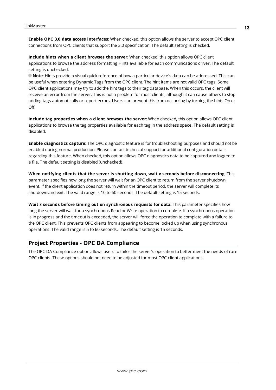**Enable OPC 3.0 data access interfaces**: When checked, this option allows the server to accept OPC client connections from OPC clients that support the 3.0 specification. The default setting is checked.

**Include hints when a client browses the server**: When checked, this option allows OPC client applications to browse the address formatting Hints available for each communications driver. The default setting is unchecked.

**Note**: Hints provide a visual quick reference of how a particular device's data can be addressed. This can be useful when entering Dynamic Tags from the OPC client. The hint items are not valid OPC tags. Some OPC client applications may try to add the hint tags to their tag database. When this occurs, the client will receive an error from the server. This is not a problem for most clients, although it can cause others to stop adding tags automatically or report errors. Users can prevent this from occurring by turning the hints On or Off.

**Include tag properties when a client browses the server**: When checked, this option allows OPC client applications to browse the tag properties available for each tag in the address space. The default setting is disabled.

**Enable diagnostics capture**: The OPC diagnostic feature is for troubleshooting purposes and should not be enabled during normal production. Please contact technical support for additional configuration details regarding this feature. When checked, this option allows OPC diagnostics data to be captured and logged to a file. The default setting is disabled (unchecked).

**When notifying clients that the server is shutting down, wait** *x* **seconds before disconnecting**: This parameter specifies how long the server will wait for an OPC client to return from the server shutdown event. If the client application does not return within the timeout period, the server will complete its shutdown and exit. The valid range is 10 to 60 seconds. The default setting is 15 seconds.

**Wait** *x* **seconds before timing out on synchronous requests for data:** This parameter specifies how long the server will wait for a synchronous Read or Write operation to complete. If a synchronous operation is in progress and the timeout is exceeded, the server will force the operation to complete with a failure to the OPC client. This prevents OPC clients from appearing to become locked up when using synchronous operations. The valid range is 5 to 60 seconds. The default setting is 15 seconds.

# <span id="page-12-0"></span>**Project Properties - OPC DA Compliance**

The OPC DA Compliance option allows users to tailor the server's operation to better meet the needs of rare OPC clients. These options should not need to be adjusted for most OPC client applications.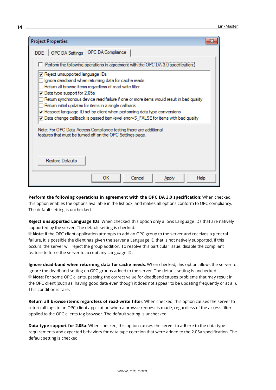| <b>Project Properties</b>                                                                                                                                                                                                                                                                                                                                      |  |  |
|----------------------------------------------------------------------------------------------------------------------------------------------------------------------------------------------------------------------------------------------------------------------------------------------------------------------------------------------------------------|--|--|
| DDE   OPC DA Settings   OPC DA Compliance                                                                                                                                                                                                                                                                                                                      |  |  |
| Perform the following operations in agreement with the OPC-DA 3.0 specification:                                                                                                                                                                                                                                                                               |  |  |
| Reject unsupported language IDs<br>Ignore deadband when retuming data for cache reads<br>Retum all browse items regardless of read-write filter                                                                                                                                                                                                                |  |  |
| $\Box$ Data type support for 2.05a<br>Retum synchronous device read failure if one or more items would result in bad quality<br>Retum initial updates for items in a single callback<br>$\Box$ Respect language ID set by client when performing data type conversions<br>○ Data change callback is passed item-level error=S_FALSE for items with bad quality |  |  |
| Note: For OPC Data Access Compliance testing there are additional<br>features that must be tumed off on the OPC Settings page.                                                                                                                                                                                                                                 |  |  |
| Restore Defaults                                                                                                                                                                                                                                                                                                                                               |  |  |
| <b>OK</b><br>Cancel<br>Help<br>Apply                                                                                                                                                                                                                                                                                                                           |  |  |

**Perform the following operations in agreement with the OPC DA 3.0 specification**: When checked, this option enables the options available in the list box, and makes all options conform to OPC compliancy. The default setting is unchecked.

**Reject unsupported Language IDs**: When checked, this option only allows Language IDs that are natively supported by the server. The default setting is checked.

**Note**: If the OPC client application attempts to add an OPC group to the server and receives a general failure, it is possible the client has given the server a Language ID that is not natively supported. If this occurs, the server will reject the group addition. To resolve this particular issue, disable the compliant feature to force the server to accept any Language ID.

**Ignore dead-band when returning data for cache needs**: When checked, this option allows the server to ignore the deadband setting on OPC groups added to the server. The default setting is unchecked. **Note**: For some OPC clients, passing the correct value for deadband causes problems that may result in the OPC client (such as, having good data even though it does not appear to be updating frequently or at all). This condition is rare.

**Return all browse items regardless of read-write filter**: When checked, this option causes the server to return all tags to an OPC client application when a browse request is made, regardless of the access filter applied to the OPC clients tag browser. The default setting is unchecked.

**Data type support for 2.05a**: When checked, this option causes the server to adhere to the data type requirements and expected behaviors for data type coercion that were added to the 2.05a specification. The default setting is checked.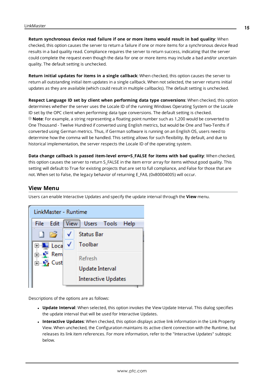# **Return synchronous device read failure if one or more items would result in bad quality**: When

checked, this option causes the server to return a failure if one or more items for a synchronous device Read results in a bad quality read. Compliance requires the server to return success, indicating that the server could complete the request even though the data for one or more items may include a bad and/or uncertain quality. The default setting is unchecked.

**Return initial updates for items in a single callback**: When checked, this option causes the server to return all outstanding initial item updates in a single callback. When not selected, the server returns initial updates as they are available (which could result in multiple callbacks). The default setting is unchecked.

**Respect Language ID set by client when performing data type conversions**: When checked, this option determines whether the server uses the Locale ID of the running Windows Operating System or the Locale ID set by the OPC client when performing data type conversions. The default setting is checked. **Note**: For example, a string representing a floating point number such as 1,200 would be converted to One Thousand - Twelve Hundred if converted using English metrics, but would be One and Two-Tenths if converted using German metrics. Thus, if German software is running on an English OS, users need to determine how the comma will be handled. This setting allows for such flexibility. By default, and due to historical implementation, the server respects the Locale ID of the operating system.

**Data change callback is passed item-level error=S\_FALSE for items with bad quality**: When checked, this option causes the server to return S\_FALSE in the item error array for items without good quality. This setting will default to True for existing projects that are set to full compliance, and False for those that are not. When set to False, the legacy behavior of returning E\_FAIL (0x80004005) will occur.

#### <span id="page-14-0"></span>**View Menu**

Users can enable Interactive Updates and specify the update interval through the **View** menu.

| LinkMaster - Runtime  |             |                            |
|-----------------------|-------------|----------------------------|
| Edit<br>File          | <b>View</b> | Users Tools Help           |
| 庈                     |             | <b>Status Bar</b>          |
| ⊞ Loca V              |             | Toolbar                    |
| ங்⊹∳"Rem<br>⊟ La Cust |             | Refresh                    |
|                       |             | Update Interval            |
|                       |             | <b>Interactive Updates</b> |

Descriptions of the options are as follows:

- **Update Interval:** When selected, this option invokes the View Update Interval. This dialog specifies the update interval that will be used for Interactive Updates.
- <sup>l</sup> **Interactive Updates**: When checked, this option displays active link information in the Link Property View. When unchecked, the Configuration maintains its active client connection with the Runtime, but releases its link item references. For more information, refer to the "Interactive Updates" subtopic below.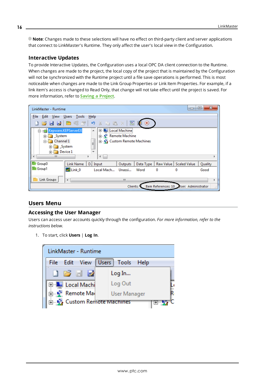**Note**: Changes made to these selections will have no effect on third-party client and server applications that connect to LinkMaster's Runtime. They only affect the user's local view in the Configuration.

#### **Interactive Updates**

To provide Interactive Updates, the Configuration uses a local OPC DA client connection to the Runtime. When changes are made to the project, the local copy of the project that is maintained by the Configuration will not be synchronized with the Runtime project until a file save operations is performed. This is most noticeable when changes are made to the Link Group Properties or Link Item Properties. For example, if a link item's access is changed to Read Only, that change will not take effect until the project is saved. For more information, refer to **Saving a [Project](#page-53-0)**.

| LinkMaster - Runtime                                                                                               |               |                                                                                                             |                      |                               |           | $\equiv$                                  | e       |     |
|--------------------------------------------------------------------------------------------------------------------|---------------|-------------------------------------------------------------------------------------------------------------|----------------------|-------------------------------|-----------|-------------------------------------------|---------|-----|
| File<br>View<br>Edit                                                                                               | Users Tools   | Help                                                                                                        |                      |                               |           |                                           |         |     |
| 82                                                                                                                 | 白毛子           | $X \oplus B X$<br>圴                                                                                         | $rac{}{0}{\sqrt{2}}$ | $\left( \blacksquare \right)$ |           |                                           |         |     |
| Fing Kepware.KEPServerEX<br>System<br>中<br><b>Example 1</b> Channel 1<br><b>E</b> System<br><b>E</b> Device 1<br>Ш |               | <b>E-Lui Local Machine</b><br>▲<br>由 P Remote Machine<br>J<br><b>ELLET</b> Custom Remote Machines<br>÷<br>∢ |                      |                               |           |                                           |         |     |
| Group0                                                                                                             | Link Name     | D. Input                                                                                                    | Outputs              | Data Type                     | Raw Value | <b>Scaled Value</b>                       | Quality |     |
| Group1                                                                                                             | $\geq$ Link 0 | Local Mach                                                                                                  | Unassi               | Word                          | 0         | 0                                         | Good    |     |
| Link Groups                                                                                                        | ∢             |                                                                                                             | m.                   |                               |           |                                           |         | þ   |
|                                                                                                                    |               |                                                                                                             |                      | Clients: 1                    |           | Item References: 10   User: Administrator |         | .11 |

#### <span id="page-15-0"></span>**Users Menu**

#### **Accessing the User Manager**

Users can access user accounts quickly through the configuration. *For more information, refer to the instructions below.*

1. To start, click **Users** | **Log In**.



**16**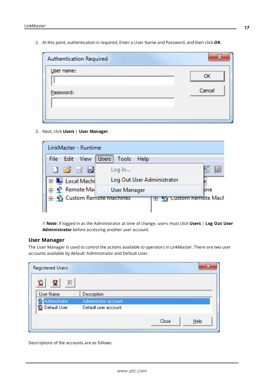2. At this point, authentication is required. Enter a User Name and Password, and then click **OK**.

| Authentication Required |        |
|-------------------------|--------|
| User name:              | ок     |
| Password:               | Cancel |
|                         |        |
|                         |        |

3. Next, click **Users** | **User Manager**.



**Note**: If logged in as the Administrator at time of change, users must click **Users** | **Log Out User Administrator** before accessing another user account.

#### **User Manager**

The User Manager is used to control the actions available to operators in LinkMaster. There are two user accounts available by default: Administrator and Default User.

| <b>Registered Users</b> |                       |               |
|-------------------------|-----------------------|---------------|
| v                       |                       |               |
| User Name               | Description           |               |
| Administrator           | Administrator account |               |
| <b>D</b> efault User    | Default user account. |               |
|                         |                       | Close<br>Help |

Descriptions of the accounts are as follows: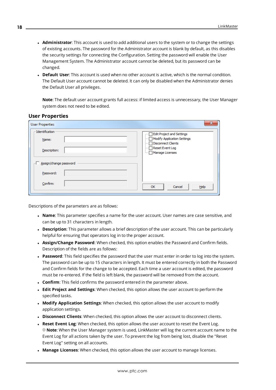- **Administrator**: This account is used to add additional users to the system or to change the settings of existing accounts. The password for the Administrator account is blank by default, as this disables the security settings for connecting the Configuration. Setting the password will enable the User Management System. The Administrator account cannot be deleted, but its password can be changed.
- **Default User**: This account is used when no other account is active, which is the normal condition. The Default User account cannot be deleted. It can only be disabled when the Administrator denies the Default User all privileges.

**Note**: The default user account grants full access: if limited access is unnecessary, the User Manager system does not need to be edited.

| <b>User Properties</b> | $\mathbf x$                                                |
|------------------------|------------------------------------------------------------|
| -Identification        | <b>Edit Project and Settings</b><br>                       |
| Name:                  | Modify Application Settings<br>i<br>Disconnect Clients<br> |
| Description:           | <b>Reset Event Log</b><br>.<br>Manage Licenses<br>i        |
| Assign/change password |                                                            |
| Password:              |                                                            |
| Confirm:               | $He$ <sub>lp</sub><br>OK<br>Cancel                         |

#### **User Properties**

Descriptions of the parameters are as follows:

- <sup>l</sup> **Name**: This parameter specifies a name for the user account. User names are case sensitive, and can be up to 31 characters in length.
- **Description**: This parameter allows a brief description of the user account. This can be particularly helpful for ensuring that operators log in to the proper account.
- **Assign/Change Password:** When checked, this option enables the Password and Confirm fields. Description of the fields are as follows:
- **Password**: This field specifies the password that the user must enter in order to log into the system. The password can be up to 15 characters in length. It must be entered correctly in both the Password and Confirm fields for the change to be accepted. Each time a user account is edited, the password must be re-entered. If the field is left blank, the password will be removed from the account.
- **Confirm**: This field confirms the password entered in the parameter above.
- <sup>l</sup> **Edit Project and Settings**: When checked, this option allows the user account to perform the specified tasks.
- <sup>l</sup> **Modify Application Settings**: When checked, this option allows the user account to modify application settings.
- **· Disconnect Clients**: When checked, this option allows the user account to disconnect clients.
- <sup>l</sup> **Reset Event Log**: When checked, this option allows the user account to reset the Event Log. **Note**: When the User Manager system is used, LinkMaster will log the current account name to the Event Log for all actions taken by the user. To prevent the log from being lost, disable the "Reset Event Log" setting on all accounts.
- <sup>l</sup> **Manage Licenses**: When checked, this option allows the user account to manage licenses.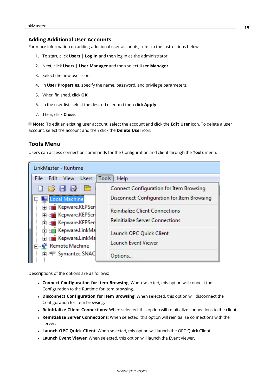#### **Adding Additional User Accounts**

For more information on adding additional user accounts, refer to the instructions below.

- 1. To start, click **Users** | **Log In** and then log in as the administrator.
- 2. Next, click **Users** | **User Manager** and then select **User Manager**.
- 3. Select the new user icon.
- 4. In **User Properties**, specify the name, password, and privilege parameters.
- 5. When finished, click **OK**.
- 6. In the user list, select the desired user and then click **Apply**.
- 7. Then, click **Close**.

**Note:** To edit an existing user account, select the account and click the **Edit User** icon. To delete a user account, select the account and then click the **Delete User** icon.

#### <span id="page-18-0"></span>**Tools Menu**

Users can access connection commands for the Configuration and client through the **Tools** menu.

| LinkMaster - Runtime                                                                                                                                                                                                                                                                                   |                                                                                       |
|--------------------------------------------------------------------------------------------------------------------------------------------------------------------------------------------------------------------------------------------------------------------------------------------------------|---------------------------------------------------------------------------------------|
| <b>Users</b><br>File Edit View                                                                                                                                                                                                                                                                         | Tools<br>Help                                                                         |
| $\begin{array}{c} \begin{array}{c} \begin{array}{c} \end{array} \\ \begin{array}{c} \end{array} \end{array} \end{array} \begin{array}{c} \begin{array}{c} \end{array} \end{array} \begin{array}{c} \begin{array}{c} \end{array} \end{array} \begin{array}{c} \end{array} \end{array}$<br>Local Machine | Connect Configuration for Item Browsing<br>Disconnect Configuration for Item Browsing |
| in the Kepware.KEPSen<br>Find Kepware.KEPSen<br>E-a Kepware.KEPSer<br>E-t Kepware.LinkMa<br><b>E</b> -1 Kepware.LinkMa<br>… ¶ Remote Machine                                                                                                                                                           | <b>Reinitialize Client Connections</b><br><b>Reinitialize Server Connections</b>      |
|                                                                                                                                                                                                                                                                                                        | Launch OPC Quick Client<br><b>Launch Event Viewer</b>                                 |
| E Symantec SNAC                                                                                                                                                                                                                                                                                        | Options                                                                               |

Descriptions of the options are as follows:

- <sup>l</sup> **Connect Configuration for Item Browsing**: When selected, this option will connect the Configuration to the Runtime for item browsing.
- <sup>l</sup> **Disconnect Configuration for Item Browsing**: When selected, this option will disconnect the Configuration for item browsing.
- <sup>l</sup> **Reinitialize Client Connections**: When selected, this option will reinitialize connections to the client.
- <sup>l</sup> **Reinitialize Server Connections**: When selected, this option will reinitialize connections with the server.
- <sup>l</sup> **Launch OPC Quick Client**: When selected, this option will launch the OPC Quick Client.
- **Launch Event Viewer**: When selected, this option will launch the Event Viewer.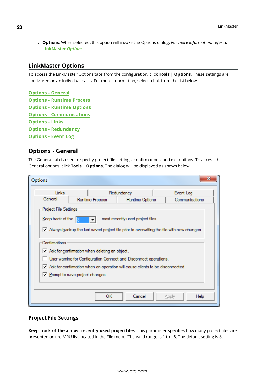<sup>l</sup> **Options**: When selected, this option will invoke the Options dialog. *For more information, refer to* **[LinkMaster](#page-19-0)** *Options.*

#### <span id="page-19-0"></span>**LinkMaster Options**

To access the LinkMaster Options tabs from the configuration, click **Tools** | **Options**. These settings are configured on an individual basis. For more information, select a link from the list below.

<span id="page-19-8"></span><span id="page-19-7"></span><span id="page-19-6"></span><span id="page-19-5"></span><span id="page-19-4"></span><span id="page-19-2"></span>**Options - [General](#page-19-1) Options - [Runtime](#page-20-0) Process Options - [Runtime](#page-21-0) Options Options - [Communications](#page-22-0) [Options](#page-23-0) - Links Options - [Redundancy](#page-25-0) [Options](#page-27-0) - Event Log**

#### <span id="page-19-3"></span><span id="page-19-1"></span>**Options - General**

The General tab is used to specify project file settings, confirmations, and exit options. To access the General options, click **Tools** | **Options**. The dialog will be displayed as shown below.

| Links<br>Redundancy<br>Event Log<br>General<br><b>Runtime Process</b><br>Runtime Options<br>Communications<br>Project File Settings<br>Keep track of the<br>most recently used project files.<br>Mways backup the last saved project file prior to overwriting the file with new changes<br>Confirmations<br>$\overline{\mathbf{v}}$ Ask for confirmation when deleting an object.<br>User warning for Configuration Connect and Disconnect operations.<br>Ask for confirmation when an operation will cause clients to be disconnected.<br>$\triangledown$ Prompt to save project changes.<br>OК<br>Cancel<br>Help<br>Apply | Options |  |  |
|------------------------------------------------------------------------------------------------------------------------------------------------------------------------------------------------------------------------------------------------------------------------------------------------------------------------------------------------------------------------------------------------------------------------------------------------------------------------------------------------------------------------------------------------------------------------------------------------------------------------------|---------|--|--|
|                                                                                                                                                                                                                                                                                                                                                                                                                                                                                                                                                                                                                              |         |  |  |
|                                                                                                                                                                                                                                                                                                                                                                                                                                                                                                                                                                                                                              |         |  |  |
|                                                                                                                                                                                                                                                                                                                                                                                                                                                                                                                                                                                                                              |         |  |  |
|                                                                                                                                                                                                                                                                                                                                                                                                                                                                                                                                                                                                                              |         |  |  |
|                                                                                                                                                                                                                                                                                                                                                                                                                                                                                                                                                                                                                              |         |  |  |
|                                                                                                                                                                                                                                                                                                                                                                                                                                                                                                                                                                                                                              |         |  |  |
|                                                                                                                                                                                                                                                                                                                                                                                                                                                                                                                                                                                                                              |         |  |  |
|                                                                                                                                                                                                                                                                                                                                                                                                                                                                                                                                                                                                                              |         |  |  |
|                                                                                                                                                                                                                                                                                                                                                                                                                                                                                                                                                                                                                              |         |  |  |
|                                                                                                                                                                                                                                                                                                                                                                                                                                                                                                                                                                                                                              |         |  |  |
|                                                                                                                                                                                                                                                                                                                                                                                                                                                                                                                                                                                                                              |         |  |  |
|                                                                                                                                                                                                                                                                                                                                                                                                                                                                                                                                                                                                                              |         |  |  |
|                                                                                                                                                                                                                                                                                                                                                                                                                                                                                                                                                                                                                              |         |  |  |

#### <span id="page-19-9"></span>**Project File Settings**

**Keep track of the** *x* **most recently used projectfiles**: This parameter specifies how many project files are presented on the MRU list located in the File menu. The valid range is 1 to 16. The default setting is 8.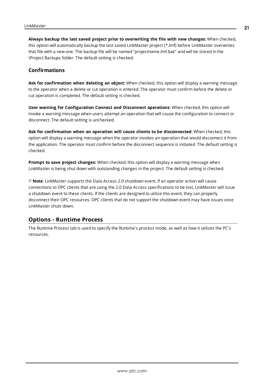**Always backup the last saved project prior to overwriting the file with new changes**: When checked, this option will automatically backup the last saved LinkMaster project (\*.lmf) before LinkMaster overwrites that file with a new one. The backup file will be named "projectname.lmf.bak" and will be stored in the \Project Backups folder. The default setting is checked.

#### <span id="page-20-1"></span>**Confirmations**

**Ask for confirmation when deleting an object**: When checked, this option will display a warning message to the operator when a delete or cut operation is entered. The operator must confirm before the delete or cut operation is completed. The default setting is checked.

**User warning for Configuration Connect and Disconnect operations**: When checked, this option will invoke a warning message when users attempt an operation that will cause the configuration to connect or disconnect. The default setting is unchecked.

**Ask for confirmation when an operation will cause clients to be disconnected**: When checked, this option will display a warning message when the operator invokes an operation that would disconnect it from the application. The operator must confirm before the disconnect sequence is initiated. The default setting is checked.

<span id="page-20-2"></span>**Prompt to save project changes:** When checked, this option will display a warning message when LinkMaster is being shut down with outstanding changes in the project. The default setting is checked.

**Note**: LinkMaster supports the Data Access 2.0 shutdown event. If an operator action will cause connections to OPC clients that are using the 2.0 Data Access specifications to be lost, LinkMaster will issue a shutdown event to these clients. If the clients are designed to utilize this event, they can properly disconnect their OPC resources. OPC clients that do not support the shutdown event may have issues once LinkMaster shuts down.

#### <span id="page-20-0"></span>**Options - Runtime Process**

The Runtime Process tab is used to specify the Runtime's process mode, as well as how it utilizes the PC's resources.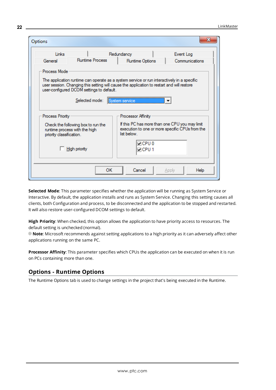| Options                  |                                                                                                                                                                                                                                                                           |                              | x                                                                                                 |  |  |
|--------------------------|---------------------------------------------------------------------------------------------------------------------------------------------------------------------------------------------------------------------------------------------------------------------------|------------------------------|---------------------------------------------------------------------------------------------------|--|--|
| Links                    |                                                                                                                                                                                                                                                                           | Redundancy                   | Event Log                                                                                         |  |  |
| General                  | <b>Runtime Process</b>                                                                                                                                                                                                                                                    | Runtime Options              | Communications                                                                                    |  |  |
| Process Mode             | The application runtime can operate as a system service or run interactively in a specific<br>user session. Changing this setting will cause the application to restart and will restore<br>user-configured DCOM settings to default.<br>Selected mode:<br>System service |                              |                                                                                                   |  |  |
| <b>Process Priority</b>  |                                                                                                                                                                                                                                                                           | Processor Affinity           |                                                                                                   |  |  |
| priority classification. | Check the following box to run the<br>runtime process with the high                                                                                                                                                                                                       | list below.                  | If this PC has more than one CPU you may limit<br>execution to one or more specific CPUs from the |  |  |
|                          | <b>High priority</b>                                                                                                                                                                                                                                                      | $\nabla$ CPUO<br>$\neg$ CPU1 |                                                                                                   |  |  |
|                          | OК                                                                                                                                                                                                                                                                        | Cancel                       | <b>Help</b><br>Apply                                                                              |  |  |

**Selected Mode**: This parameter specifies whether the application will be running as System Service or Interactive. By default, the application installs and runs as System Service. Changing this setting causes all clients, both Configuration and process, to be disconnected and the application to be stopped and restarted. It will also restore user-configured DCOM settings to default.

**High Priority**: When checked, this option allows the application to have priority access to resources. The default setting is unchecked (normal).

**Note**: Microsoft recommends against setting applications to a high priority as it can adversely affect other applications running on the same PC.

**Processor Affinity**: This parameter specifies which CPUs the application can be executed on when it is run on PCs containing more than one.

#### <span id="page-21-0"></span>**Options - Runtime Options**

The Runtime Options tab is used to change settings in the project that's being executed in the Runtime.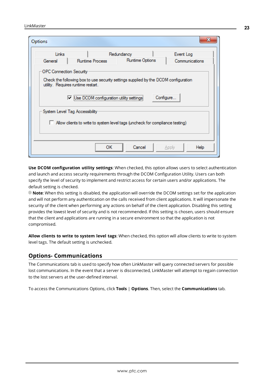| Options                        |                                                                                                                           |                 |                |
|--------------------------------|---------------------------------------------------------------------------------------------------------------------------|-----------------|----------------|
| Links                          |                                                                                                                           | Redundancy      | Event Log      |
| General                        | <b>Runtime Process</b>                                                                                                    | Runtime Options | Communications |
| <b>OPC Connection Security</b> |                                                                                                                           |                 |                |
|                                | Check the following box to use security settings supplied by the DCOM configuration<br>utility. Requires runtime restart. |                 |                |
|                                | V Use DCOM configuration utility settings                                                                                 |                 | Configure      |
|                                | System Level Tag Accessibility                                                                                            |                 |                |
|                                | Allow clients to write to system level tags (uncheck for compliance testing)                                              |                 |                |
|                                |                                                                                                                           |                 |                |
|                                | ОΚ                                                                                                                        | Cancel          | Help<br>Apply  |

**Use DCOM configuration utility settings**: When checked, this option allows users to select authentication and launch and access security requirements through the DCOM Configuration Utility. Users can both specify the level of security to implement and restrict access for certain users and/or applications. The default setting is checked.

**Note**: When this setting is disabled, the application will override the DCOM settings set for the application and will not perform any authentication on the calls received from client applications. It will impersonate the security of the client when performing any actions on behalf of the client application. Disabling this setting provides the lowest level of security and is not recommended. If this setting is chosen, users should ensure that the client and applications are running in a secure environment so that the application is not compromised.

**Allow clients to write to system level tags**: When checked, this option will allow clients to write to system level tags. The default setting is unchecked.

#### <span id="page-22-0"></span>**Options- Communications**

The Communications tab is used to specify how often LinkMaster will query connected servers for possible lost communications. In the event that a server is disconnected, LinkMaster will attempt to regain connection to the lost servers at the user-defined interval.

To access the Communications Options, click **Tools** | **Options**. Then, select the **Communications** tab.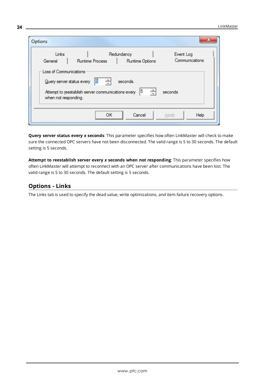| Options                                        |                                                                                           |                    |         | х              |
|------------------------------------------------|-------------------------------------------------------------------------------------------|--------------------|---------|----------------|
| Links                                          |                                                                                           | Redundancy         |         | Event Log      |
| General                                        | <b>Runtime Process</b>                                                                    | Runtime Options    |         | Communications |
| Loss of Communications<br>when not responding. | 싂<br>5<br>Query server status every<br>Attempt to reestablish server communications every | seconds.<br>싁<br>5 | seconds |                |
|                                                | <b>OK</b>                                                                                 | Cancel             | Apply   | Help           |

**Query server status every** *x* **seconds**: This parameter specifies how often LinkMaster will check to make sure the connected OPC servers have not been disconnected. The valid range is 5 to 30 seconds. The default setting is 5 seconds.

**Attempt to reestablish server every** *x* **seconds when not responding**: This parameter specifies how often LinkMaster will attempt to reconnect with an OPC server after communications have been lost. The valid range is 5 to 30 seconds. The default setting is 5 seconds.

# <span id="page-23-0"></span>**Options - Links**

The Links tab is used to specify the dead value, write optimizations, and item failure recovery options.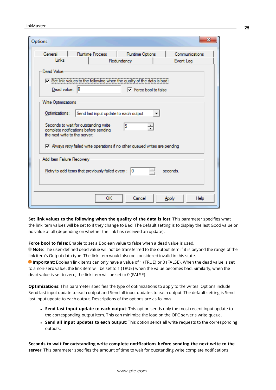| Options                                                                             |                              |                |
|-------------------------------------------------------------------------------------|------------------------------|----------------|
| General<br><b>Runtime Process</b>                                                   | Runtime Options              | Communications |
| Links                                                                               | Redundancy                   | Event Log      |
| Dead Value                                                                          |                              |                |
| Set link values to the following when the quality of the data is bad:               |                              |                |
| Dead value: 0                                                                       | $\nabla$ Force bool to false |                |
| Write Optimizations                                                                 |                              |                |
| Optimizations:<br>Send last input update to each output                             | ▼                            |                |
|                                                                                     |                              |                |
| Seconds to wait for outstanding write<br>complete notifications before sending      | 5<br>÷                       |                |
| the next write to the server:                                                       |                              |                |
| $\nabla$ Always retry failed write operations if no other queued writes are pending |                              |                |
| Add Item Failure Recovery                                                           |                              |                |
|                                                                                     |                              |                |
| $Retry to add items that previously failed every:  0 $                              | 싂                            | seconds.       |
|                                                                                     |                              |                |
|                                                                                     |                              |                |
| ОΚ                                                                                  | Cancel                       | Help<br>Apply  |

**Set link values to the following when the quality of the data is lost**: This parameter specifies what the link item values will be set to if they change to Bad. The default setting is to display the last Good value or no value at all (depending on whether the link has received an update).

**Force bool to false**: Enable to set a Boolean value to false when a dead value is used.

**Note**: The user-defined dead value will not be transferred to the output item if it is beyond the range of the link item's Output data type. The link item would also be considered invalid in this state.

**Important**: Boolean link items can only have a value of 1 (TRUE) or 0 (FALSE). When the dead value is set to a non-zero value, the link item will be set to 1 (TRUE) when the value becomes bad. Similarly, when the dead value is set to zero, the link item will be set to 0 (FALSE).

**Optimizations**: This parameter specifies the type of optimizations to apply to the writes. Options include Send last input update to each output and Send all input updates to each output. The default setting is Send last input update to each output. Descriptions of the options are as follows:

- <sup>l</sup> **Send last input update to each output**: This option sends only the most recent input update to the corresponding output item. This can minimize the load on the OPC server's write queue.
- <sup>l</sup> **Send all input updates to each output**: This option sends all write requests to the corresponding outputs.

**Seconds to wait for outstanding write complete notifications before sending the next write to the server**: This parameter specifies the amount of time to wait for outstanding write complete notifications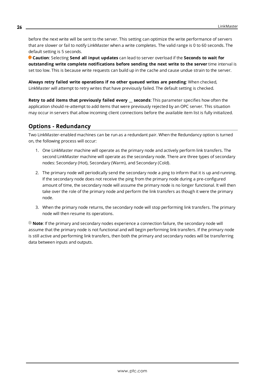before the next write will be sent to the server. This setting can optimize the write performance of servers that are slower or fail to notify LinkMaster when a write completes. The valid range is 0 to 60 seconds. The default setting is 5 seconds.

**Caution**: Selecting **Send all input updates** can lead to server overload if the **Seconds to wait for outstanding write complete notifications before sending the next write to the server** time interval is set too low. This is because write requests can build up in the cache and cause undue strain to the server.

**Always retry failed write operations if no other queued writes are pending**: When checked, LinkMaster will attempt to retry writes that have previously failed. The default setting is checked.

**Retry to add items that previously failed every \_\_ seconds**: This parameter specifies how often the application should re-attempt to add items that were previously rejected by an OPC server. This situation may occur in servers that allow incoming client connections before the available item list is fully initialized.

# <span id="page-25-0"></span>**Options - Redundancy**

Two LinkMaster-enabled machines can be run as a redundant pair. When the Redundancy option is turned on, the following process will occur:

- 1. One LinkMaster machine will operate as the primary node and actively perform link transfers. The second LinkMaster machine will operate as the secondary node. There are three types of secondary nodes: Secondary (Hot), Secondary (Warm), and Secondary (Cold).
- 2. The primary node will periodically send the secondary node a ping to inform that it is up and running. If the secondary node does not receive the ping from the primary node during a pre-configured amount of time, the secondary node will assume the primary node is no longer functional. It will then take over the role of the primary node and perform the link transfers as though it were the primary node.
- 3. When the primary node returns, the secondary node will stop performing link transfers. The primary node will then resume its operations.

**Note**: If the primary and secondary nodes experience a connection failure, the secondary node will assume that the primary node is not functional and will begin performing link transfers. If the primary node is still active and performing link transfers, then both the primary and secondary nodes will be transferring data between inputs and outputs.

**26**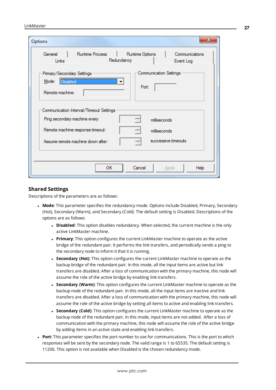| Options                                                            |                                                                         |                                                                | x                           |
|--------------------------------------------------------------------|-------------------------------------------------------------------------|----------------------------------------------------------------|-----------------------------|
| General<br>Links                                                   | Runtime Process                                                         | Runtime Options<br>Redundancy                                  | Communications<br>Event Log |
| Primary/Secondary Settings<br>Disabled<br>Mode:<br>Remote machine: |                                                                         | <b>Communication Settings</b><br>$\blacktriangledown$<br>Port: |                             |
|                                                                    | Communication Interval/Timeout Settings<br>Ping secondary machine every | 싂                                                              | milliseconds                |
|                                                                    | Remote machine response timeout:                                        | 싂                                                              | milliseconds                |
|                                                                    | Assume remote machine down after:                                       | 싂                                                              | successive timeouts         |
|                                                                    |                                                                         |                                                                |                             |
|                                                                    | <b>OK</b>                                                               | Cancel                                                         | Help<br>Apply               |

#### **Shared Settings**

Descriptions of the parameters are as follows:

- **· Mode**: This parameter specifies the redundancy mode. Options include Disabled, Primary, Secondary (Hot), Secondary (Warm), and Secondary (Cold). The default setting is Disabled. Descriptions of the options are as follows:
	- **.** Disabled: This option disables redundancy. When selected, the current machine is the only active LinkMaster machine.
	- **Primary:** This option configures the current LinkMaster machine to operate as the active bridge of the redundant pair. It performs the link transfers, and periodically sends a ping to the secondary node to inform it that it is running.
	- **. Secondary (Hot)**: This option configures the current LinkMaster machine to operate as the backup bridge of the redundant pair. In this mode, all the input items are active but link transfers are disabled. After a loss of communication with the primary machine, this node will assume the role of the active bridge by enabling link transfers.
	- **. Secondary (Warm)**: This option configures the current LinkMaster machine to operate as the backup node of the redundant pair. In this mode, all the input items are inactive and link transfers are disabled. After a loss of communication with the primary machine, this node will assume the role of the active bridge by setting all items to active and enabling link transfers.
	- **. Secondary (Cold)**: This option configures the current LinkMaster machine to operate as the backup node of the redundant pair. In this mode, input items are not added. After a loss of communication with the primary machine, this node will assume the role of the active bridge by adding items in an active state and enabling link transfers.
- Port: This parameter specifies the port number to use for communications. This is the port to which responses will be sent by the secondary node. The valid range is 1 to 65535. The default setting is 11206. This option is not available when Disabled is the chosen redundancy mode.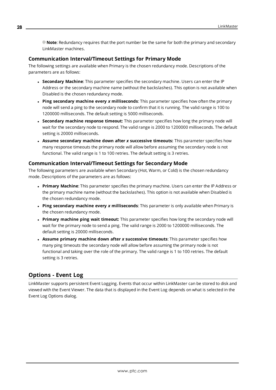**Note**: Redundancy requires that the port number be the same for both the primary and secondary LinkMaster machines.

#### **Communication Interval/Timeout Settings for Primary Mode**

The following settings are available when Primary is the chosen redundancy mode. Descriptions of the parameters are as follows:

- **. Secondary Machine**: This parameter specifies the secondary machine. Users can enter the IP Address or the secondary machine name (without the backslashes). This option is not available when Disabled is the chosen redundancy mode.
- <sup>l</sup> **Ping secondary machine every** *x* **milliseconds**: This parameter specifies how often the primary node will send a ping to the secondary node to confirm that it is running. The valid range is 100 to 1200000 milliseconds. The default setting is 5000 milliseconds.
- <sup>l</sup> **Secondary machine response timeout:** This parameter specifies how long the primary node will wait for the secondary node to respond. The valid range is 2000 to 1200000 milliseconds. The default setting is 20000 milliseconds.
- <sup>l</sup> **Assume secondary machine down after** *x* **successive timeouts:** This parameter specifies how many response timeouts the primary node will allow before assuming the secondary node is not functional. The valid range is 1 to 100 retries. The default setting is 3 retries.

#### **Communication Interval/Timeout Settings for Secondary Mode**

The following parameters are available when Secondary (Hot, Warm, or Cold) is the chosen redundancy mode. Descriptions of the parameters are as follows:

- <sup>l</sup> **Primary Machine**: This parameter specifies the primary machine. Users can enter the IP Address or the primary machine name (without the backslashes). This option is not available when Disabled is the chosen redundancy mode.
- <sup>l</sup> **Ping secondary machine every** *x* **milliseconds**: This parameter is only available when Primary is the chosen redundancy mode.
- <sup>l</sup> **Primary machine ping wait timeout:** This parameter specifies how long the secondary node will wait for the primary node to send a ping. The valid range is 2000 to 1200000 milliseconds. The default setting is 20000 milliseconds.
- <sup>l</sup> **Assume primary machine down after** *x* **successive timeouts**: This parameter specifies how many ping timeouts the secondary node will allow before assuming the primary node is not functional and taking over the role of the primary. The valid range is 1 to 100 retries. The default setting is 3 retries.

#### <span id="page-27-0"></span>**Options - Event Log**

LinkMaster supports persistent Event Logging. Events that occur within LinkMaster can be stored to disk and viewed with the Event Viewer. The data that is displayed in the Event Log depends on what is selected in the Event Log Options dialog.

**28**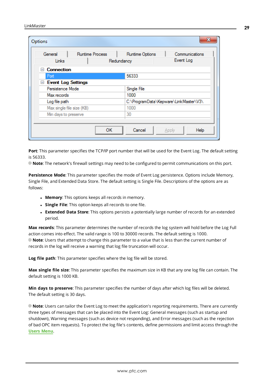| General                             | <b>Runtime Process</b> | Runtime Options | Communications                        |
|-------------------------------------|------------------------|-----------------|---------------------------------------|
| Links                               |                        | Redundancy      | Event Log                             |
| <b>Connection</b><br>$\overline{ }$ |                        |                 |                                       |
| Port                                |                        | 56333           |                                       |
| Event Log Settings                  |                        |                 |                                       |
| Persistence Mode                    |                        | Single File     |                                       |
| Max records                         |                        | 1000            |                                       |
| Log file path                       |                        |                 | C:\ProgramData\Kepware\LinkMaster\V3\ |
| Max single file size (KB)           |                        | 1000            |                                       |
| Min days to preserve                |                        | 30              |                                       |
|                                     |                        |                 |                                       |

<span id="page-28-0"></span>**Port**: This parameter specifies the TCP/IP port number that will be used for the Event Log. The default setting is 56333.

**Note**: The network's firewall settings may need to be configured to permit communications on this port.

**Persistence Mode**: This parameter specifies the mode of Event Log persistence. Options include Memory, Single File, and Extended Data Store. The default setting is Single File. Descriptions of the options are as follows:

- **.** Memory: This options keeps all records in memory.
- **.** Single File: This option keeps all records to one file.
- **Extended Data Store**: This options persists a potentially large number of records for an extended period.

**Max records**: This parameter determines the number of records the log system will hold before the Log Full action comes into effect. The valid range is 100 to 30000 records. The default setting is 1000. **Note**: Users that attempt to change this parameter to a value that is less than the current number of records in the log will receive a warning that log file truncation will occur.

**Log file path**: This parameter specifies where the log file will be stored.

**Max single file size**: This parameter specifies the maximum size in KB that any one log file can contain. The default setting is 1000 KB.

**Min days to preserve**: This parameter specifies the number of days after which log files will be deleted. The default setting is 30 days.

**Note**: Users can tailor the Event Log to meet the application's reporting requirements. There are currently three types of messages that can be placed into the Event Log: General messages (such as startup and shutdown), Warning messages (such as device not responding), and Error messages (such as the rejection of bad OPC item requests). To protect the log file's contents, define permissions and limit access through the **Users [Menu](#page-15-0)**.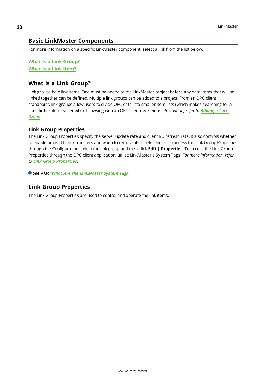# <span id="page-29-0"></span>**Basic LinkMaster Components**

For more information on a specific LinkMaster component, select a link from the list below.

**What Is a Link [Group?](#page-29-1) What Is a Link [Item?](#page-31-0)**

## <span id="page-29-1"></span>**What Is a Link Group?**

Link groups hold link items. One must be added to the LinkMaster project before any data items that will be linked together can be defined. Multiple link groups can be added to a project. From an OPC client standpoint, link groups allow users to divide OPC data into smaller item lists (which makes searching for a specific link item easier when browsing with an OPC client). *For more information, refer to [Adding](#page-45-0) a Link [Group](#page-45-0).*

#### **Link Group Properties**

The Link Group Properties specify the server update rate and client I/O refresh rate. It also controls whether to enable or disable link transfers and when to remove item references. To access the Link Group Properties through the Configuration, select the link group and then click **Edit** | **Properties**. To access the Link Group Properties through the OPC client application, utilize LinkMaster's System Tags. *For more information, refer to Link Group [Properties](#page-29-2).*

<span id="page-29-2"></span>*See Also: What Are the [LinkMaster](#page-41-0) System Tags?*

# **Link Group Properties**

The Link Group Properties are used to control and operate the link items.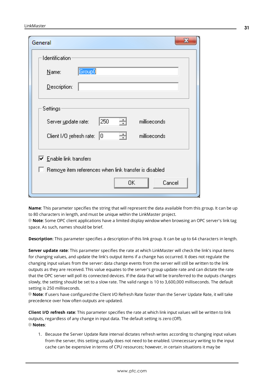| General                                                                                                          |  |
|------------------------------------------------------------------------------------------------------------------|--|
| Identification                                                                                                   |  |
| Group0<br>Name:                                                                                                  |  |
| Description:                                                                                                     |  |
| Settings<br>쉬<br>250<br>milliseconds<br>Server update rate:<br>싁<br>Client I/O refresh rate: 0<br>milliseconds   |  |
| $\overline{\triangledown}$ Enable link transfers<br>$\Box$ Remove item references when link transfer is disabled |  |
| 0K<br>Cancel                                                                                                     |  |

**Name**: This parameter specifies the string that will represent the data available from this group. It can be up to 80 characters in length, and must be unique within the LinkMaster project.

**Note**: Some OPC client applications have a limited display window when browsing an OPC server's link tag space. As such, names should be brief.

**Description**: This parameter specifies a description of this link group. It can be up to 64 characters in length.

**Server update rate**: This parameter specifies the rate at which LinkMaster will check the link's input items for changing values, and update the link's output items if a change has occurred. It does not regulate the changing input values from the server: data change events from the server will still be written to the link outputs as they are received. This value equates to the server's group update rate and can dictate the rate that the OPC server will poll its connected devices. If the data that will be transferred to the outputs changes slowly, the setting should be set to a slow rate. The valid range is 10 to 3,600,000 milliseconds. The default setting is 250 milliseconds.

**Note**: If users have configured the Client I/O Refresh Rate faster than the Server Update Rate, it will take precedence over how often outputs are updated.

**Client I/O refresh rate**: This parameter specifies the rate at which link input values will be written to link outputs, regardless of any change in input data. The default setting is zero (Off). **Notes**:

1. Because the Server Update Rate interval dictates refresh writes according to changing input values from the server, this setting usually does not need to be enabled. Unnecessary writing to the input cache can be expensive in terms of CPU resources; however, in certain situations it may be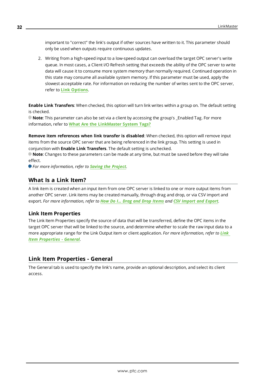important to "correct" the link's output if other sources have written to it. This parameter should only be used when outputs require continuous updates.

2. Writing from a high-speed input to a low-speed output can overload the target OPC server's write queue. In most cases, a Client I/O Refresh setting that exceeds the ability of the OPC server to write data will cause it to consume more system memory than normally required. Continued operation in this state may consume all available system memory. If this parameter must be used, apply the slowest acceptable rate. For information on reducing the number of writes sent to the OPC server, refer to **Link [Options](#page-23-0)**.

**Enable Link Transfers**: When checked, this option will turn link writes within a group on. The default setting is checked.

**Note**: This parameter can also be set via a client by accessing the group's \_Enabled Tag. For more information, refer to **What Are the [LinkMaster](#page-41-0) System Tags?**

**Remove item references when link transfer is disabled**: When checked, this option will remove input items from the source OPC server that are being referenced in the link group. This setting is used in conjunction with **Enable Link Transfers**. The default setting is unchecked.

**Note**: Changes to these parameters can be made at any time, but must be saved before they will take effect.

<span id="page-31-0"></span>*For more information, refer to Saving the [Project](#page-53-0).*

#### **What Is a Link Item?**

A link item is created when an input item from one OPC server is linked to one or more output items from another OPC server. Link items may be created manually, through drag and drop, or via CSV import and export. *For more information, refer to How Do I... Drag [and Drop](#page-55-0) Items and CSV [Import](#page-37-0) and Export.*

#### **Link Item Properties**

The Link Item Properties specify the source of data that will be transferred, define the OPC items in the target OPC server that will be linked to the source, and determine whether to scale the raw input data to a more appropriate range for the Link Output item or client application. *For more information, refer to [Link](#page-31-1) Item [Properties](#page-31-1) - General.*

#### <span id="page-31-1"></span>**Link Item Properties - General**

The General tab is used to specify the link's name, provide an optional description, and select its client access.

**32**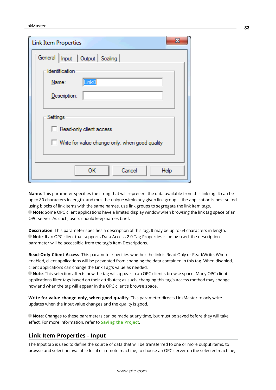| ж<br><b>Link Item Properties</b>               |
|------------------------------------------------|
| General   Input   Output   Scaling             |
| Identification                                 |
| Link <sub>0</sub><br>Name:                     |
| Description:                                   |
|                                                |
| Settings                                       |
| Read-only client access                        |
| Write for value change only, when good quality |
|                                                |
| ОΚ<br>Cancel<br>Help                           |

**Name**: This parameter specifies the string that will represent the data available from this link tag. It can be up to 80 characters in length, and must be unique within any given link group. If the application is best suited using blocks of link items with the same names, use link groups to segregate the link item tags. **Note**: Some OPC client applications have a limited display window when browsing the link tag space of an OPC server. As such, users should keep names brief.

**Description**: This parameter specifies a description of this tag. It may be up to 64 characters in length. **Note**: If an OPC client that supports Data Access 2.0 Tag Properties is being used, the description parameter will be accessible from the tag's Item Descriptions.

**Read-Only Client Access**: This parameter specifies whether the link is Read Only or Read/Write. When enabled, client applications will be prevented from changing the data contained in this tag. When disabled, client applications can change the Link Tag's value as needed.

**Note**: This selection affects how the tag will appear in an OPC client's browse space. Many OPC client applications filter tags based on their attributes; as such, changing this tag's access method may change how and when the tag will appear in the OPC client's browse space.

**Write for value change only, when good quality**: This parameter directs LinkMaster to only write updates when the input value changes and the quality is good.

**Note**: Changes to these parameters can be made at any time, but must be saved before they will take effect. For more information, refer to **Saving the [Project](#page-53-0)**.

#### <span id="page-32-0"></span>**Link Item Properties - Input**

The Input tab is used to define the source of data that will be transferred to one or more output items, to browse and select an available local or remote machine, to choose an OPC server on the selected machine,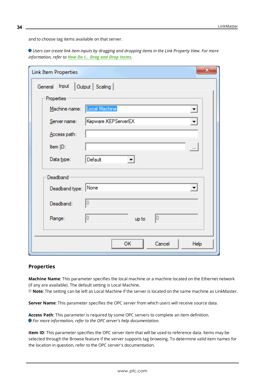**34**

and to choose tag items available on that server.

Users can create link item inputs by dragging and dropping items in the Link Property View. For more *information, refer to How Do I... Drag and Drop [Items](#page-55-0).*

| <b>Link Item Properties</b> | $\mathbf{x}$                              |
|-----------------------------|-------------------------------------------|
| General Input               | Output   Scaling                          |
| Properties                  |                                           |
| Machine name:               | Local Machine<br>$\overline{\phantom{a}}$ |
| Server name:                | Kepware.KEPServerEX<br>▼                  |
| Access path:                |                                           |
| Item ID:                    | $\ldots$                                  |
| Data type:                  | Default<br>$\overline{\mathbf{v}}$        |
| Deadband                    |                                           |
| Deadband type: None         | $\blacktriangledown$                      |
| Deadband:                   | O                                         |
| Range:                      | lo<br>10<br>up to                         |
|                             |                                           |
|                             | OK<br>Cancel<br>Help                      |

#### <span id="page-33-2"></span>**Properties**

**Machine Name**: This parameter specifies the local machine or a machine located on the Ethernet network (if any are available). The default setting is Local Machine.

<span id="page-33-3"></span>**Note**: The setting can be left as Local Machine if the server is located on the same machine as LinkMaster.

<span id="page-33-0"></span>**Server Name**: This parameter specifies the OPC server from which users will receive source data.

**Access Path**: This parameter is required by some OPC servers to complete an item definition. *For more information, refer to the OPC server's help documentation.*

<span id="page-33-1"></span>**Item ID**: This parameter specifies the OPC server item that will be used to reference data. Items may be selected through the Browse feature if the server supports tag browsing. To determine valid item names for the location in question, refer to the OPC server's documentation.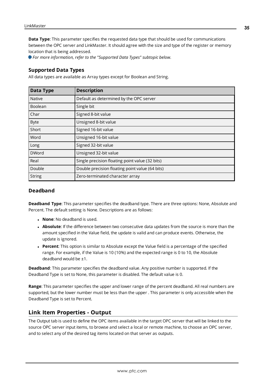<span id="page-34-5"></span>**Data Type**: This parameter specifies the requested data type that should be used for communications between the OPC server and LinkMaster. It should agree with the size and type of the register or memory location that is being addressed.

*For more information, refer to the "Supported Data Types" subtopic below.*

#### **Supported Data Types**

All data types are available as Array types except for Boolean and String.

<span id="page-34-17"></span><span id="page-34-15"></span><span id="page-34-10"></span><span id="page-34-9"></span><span id="page-34-4"></span><span id="page-34-3"></span><span id="page-34-2"></span>

| Data Type     | <b>Description</b>                              |
|---------------|-------------------------------------------------|
| <b>Native</b> | Default as determined by the OPC server         |
| Boolean       | Single bit                                      |
| Char          | Signed 8-bit value                              |
| <b>Byte</b>   | Unsigned 8-bit value                            |
| Short         | Signed 16-bit value                             |
| Word          | Unsigned 16-bit value                           |
| Long          | Signed 32-bit value                             |
| <b>DWord</b>  | Unsigned 32-bit value                           |
| Real          | Single precision floating point value (32 bits) |
| Double        | Double precision floating point value (64 bits) |
| <b>String</b> | Zero-terminated character array                 |

#### <span id="page-34-16"></span><span id="page-34-14"></span><span id="page-34-8"></span><span id="page-34-7"></span>**Deadband**

<span id="page-34-6"></span>**Deadband Type**: This parameter specifies the deadband type. There are three options: None, Absolute and Percent. The default setting is None. Descriptions are as follows:

- <span id="page-34-11"></span><span id="page-34-1"></span>**None**: No deadband is used.
- **. Absolute**: If the difference between two consecutive data updates from the source is more than the amount specified in the Value field, the update is valid and can produce events. Otherwise, the update is ignored.
- <span id="page-34-12"></span>**Percent**: This option is similar to Absolute except the Value field is a percentage of the specified range. For example, if the Value is 10 (10%) and the expected range is 0 to 10, the Absolute deadband would be ±1.

**Deadband**: This parameter specifies the deadband value. Any positive number is supported. If the Deadband Type is set to None, this parameter is disabled. The default value is 0.

<span id="page-34-13"></span>**Range**: This parameter specifies the upper and lower range of the percent deadband. All real numbers are supported, but the lower number must be less than the upper . This parameter is only accessible when the Deadband Type is set to Percent.

#### <span id="page-34-0"></span>**Link Item Properties - Output**

The Output tab is used to define the OPC items available in the target OPC server that will be linked to the source OPC server input items, to browse and select a local or remote machine, to choose an OPC server, and to select any of the desired tag items located on that server as outputs.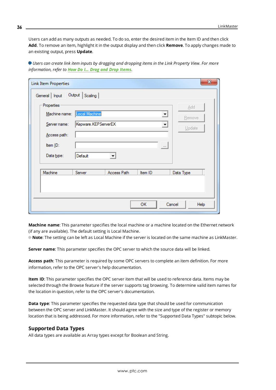Users can add as many outputs as needed. To do so, enter the desired item in the Item ID and then click **Add**. To remove an item, highlight it in the output display and then click **Remove**. To apply changes made to an existing output, press **Update**.

| <b>Link Item Properties</b> |                     |                      |         | $\mathbf{x}$   |  |
|-----------------------------|---------------------|----------------------|---------|----------------|--|
| General   Input             | Output   Scaling    |                      |         |                |  |
| Properties                  |                     |                      |         | Add            |  |
| Machine name:               | Local Machine       |                      |         | ▾<br>Remove    |  |
| Server name:                | Kepware.KEPServerEX |                      |         | ▼<br>Update    |  |
| Access path:                |                     |                      |         |                |  |
| Item ID:                    |                     |                      |         | $\cdots$       |  |
| Data type:                  | Default             | $\blacktriangledown$ |         |                |  |
| Machine                     | Server              | Access Path          | Item ID | Data Type      |  |
|                             |                     |                      |         |                |  |
|                             |                     |                      |         |                |  |
|                             |                     |                      | OK      | Cancel<br>Help |  |

Users can create link item inputs by dragging and dropping items in the Link Property View. For more *information, refer to How Do I... Drag and Drop [Items](#page-55-0).*

<span id="page-35-2"></span>**Machine name**: This parameter specifies the local machine or a machine located on the Ethernet network (if any are available). The default setting is Local Machine.

<span id="page-35-3"></span>**Note**: The setting can be left as Local Machine if the server is located on the same machine as LinkMaster.

<span id="page-35-0"></span>**Server name**: This parameter specifies the OPC server to which the source data will be linked.

**Access path**: This parameter is required by some OPC servers to complete an item definition. For more information, refer to the OPC server's help documentation.

<span id="page-35-1"></span>**Item ID**: This parameter specifies the OPC server item that will be used to reference data. Items may be selected through the Browse feature if the server supports tag browsing. To determine valid item names for the location in question, refer to the OPC server's documentation.

**Data type**: This parameter specifies the requested data type that should be used for communication between the OPC server and LinkMaster. It should agree with the size and type of the register or memory location that is being addressed. For more information, refer to the "Supported Data Types" subtopic below.

#### **Supported Data Types**

All data types are available as Array types except for Boolean and String.

**36**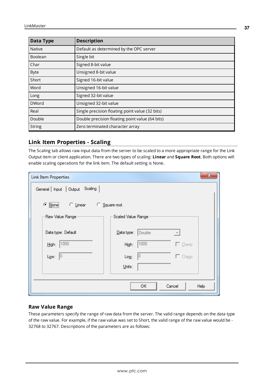| Data Type     | <b>Description</b>                              |
|---------------|-------------------------------------------------|
| <b>Native</b> | Default as determined by the OPC server         |
| Boolean       | Single bit                                      |
| Char          | Signed 8-bit value                              |
| <b>Byte</b>   | Unsigned 8-bit value                            |
| Short         | Signed 16-bit value                             |
| Word          | Unsigned 16-bit value                           |
| Long          | Signed 32-bit value                             |
| <b>DWord</b>  | Unsigned 32-bit value                           |
| Real          | Single precision floating point value (32 bits) |
| Double        | Double precision floating point value (64 bits) |
| <b>String</b> | Zero terminated character array                 |

# <span id="page-36-0"></span>**Link Item Properties - Scaling**

The Scaling tab allows raw input data from the server to be scaled to a more appropriate range for the Link Output item or client application. There are two types of scaling: **Linear** and **Square Root**. Both options will enable scaling operations for the link item. The default setting is None.

| <b>Link Item Properties</b>            | $\mathbf{x}$                              |
|----------------------------------------|-------------------------------------------|
| General Input Output Scaling           |                                           |
| $\circ$ None<br>C Linear C Square root |                                           |
| Raw Value Range                        | Scaled Value Range                        |
| Data type: Default                     | Data type: Double<br>$\vert \nabla \vert$ |
| High: 1000                             | 1000<br>$\Box$ Clamp<br>High:             |
| $L_{\text{QW}}$ : 0                    | 10<br>$\Box$ Clamp<br>Low:                |
|                                        | Units:                                    |
|                                        |                                           |
|                                        | <b>OK</b><br>Cancel<br>Help               |

#### **Raw Value Range**

These parameters specify the range of raw data from the server. The valid range depends on the data type of the raw value. For example, if the raw value was set to Short, the valid range of the raw value would be - 32768 to 32767. Descriptions of the parameters are as follows: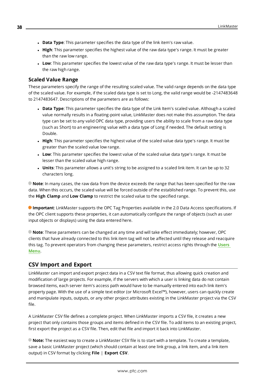- **.** Data Type: This parameter specifies the data type of the link item's raw value.
- **High**: This parameter specifies the highest value of the raw data type's range. It must be greater than the raw low range.
- Low: This parameter specifies the lowest value of the raw data type's range. It must be lesser than the raw high range.

#### **Scaled Value Range**

These parameters specify the range of the resulting scaled value. The valid range depends on the data type of the scaled value. For example, if the scaled data type is set to Long, the valid range would be -2147483648 to 2147483647. Descriptions of the parameters are as follows:

- <sup>l</sup> **Data Type**: This parameter specifies the data type of the Link Item's scaled value. Although a scaled value normally results in a floating-point value, LinkMaster does not make this assumption. The data type can be set to any valid OPC data type, providing users the ability to scale from a raw data type (such as Short) to an engineering value with a data type of Long if needed. The default setting is Double.
- High: This parameter specifies the highest value of the scaled value data type's range. It must be greater than the scaled value low range.
- Low: This parameter specifies the lowest value of the scaled value data type's range. It must be lesser than the scaled value high range.
- **Units**: This parameter allows a unit's string to be assigned to a scaled link item. It can be up to 32 characters long.

**Note**: In many cases, the raw data from the device exceeds the range that has been specified for the raw data. When this occurs, the scaled value will be forced outside of the established range. To prevent this, use the **High Clamp** and **Low Clamp** to restrict the scaled value to the specified range.

<span id="page-37-1"></span>**Important**: LinkMaster supports the OPC Tag Properties available in the 2.0 Data Access specifications. If the OPC client supports these properties, it can automatically configure the range of objects (such as user input objects or displays) using the data entered here.

**Note**: These parameters can be changed at any time and will take effect immediately; however, OPC clients that have already connected to this link item tag will not be affected until they release and reacquire this tag. To prevent operators from changing these parameters, restrict access rights through the **[Users](#page-15-0) [Menu](#page-15-0)**.

# <span id="page-37-0"></span>**CSV Import and Export**

LinkMaster can import and export project data in a CSV text file format, thus allowing quick creation and modification of large projects. For example, if the servers with which a user is linking data do not contain browsed items, each server item's access path would have to be manually entered into each link item's property page. With the use of a simple text editor (or Microsoft Excel™), however, users can quickly create and manipulate inputs, outputs, or any other project attributes existing in the LinkMaster project via the CSV file.

A LinkMaster CSV file defines a complete project. When LinkMaster imports a CSV file, it creates a new project that only contains those groups and items defined in the CSV file. To add items to an existing project, first export the project as a CSV file. Then, edit that file and import it back into LinkMaster.

**Note:** The easiest way to create a LinkMaster CSV file is to start with a template. To create a template, save a basic LinkMaster project (which should contain at least one link group, a link item, and a link item output) in CSV format by clicking **File** | **Export CSV**.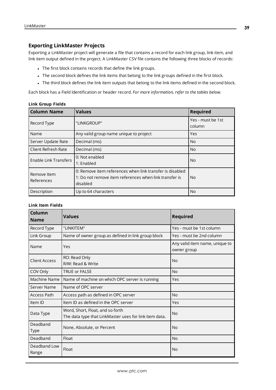#### **Exporting LinkMaster Projects**

Exporting a LinkMaster project will generate a file that contains a record for each link group, link item, and link item output defined in the project. A LinkMaster CSV file contains the following three blocks of records:

- The first block contains records that define the link groups.
- The second block defines the link items that belong to the link groups defined in the first block.
- The third block defines the link item outputs that belong to the link items defined in the second block.

Each block has a Field Identification or header record. *For more information, refer to the tables below.*

<span id="page-38-7"></span><span id="page-38-3"></span>

| <b>Column Name</b>           | <b>Values</b>                                                                                                                  | <b>Required</b>             |
|------------------------------|--------------------------------------------------------------------------------------------------------------------------------|-----------------------------|
| Record Type                  | "LINKGROUP"                                                                                                                    | Yes - must be 1st<br>column |
| Name                         | Any valid group name unique to project                                                                                         | Yes                         |
| Server Update Rate           | Decimal (ms)                                                                                                                   | N <sub>o</sub>              |
| Client Refresh Rate          | Decimal (ms)                                                                                                                   | <b>No</b>                   |
| <b>Enable Link Transfers</b> | 0: Not enabled<br>1: Enabled                                                                                                   | No.                         |
| Remove Item<br>References    | 0: Remove item references when link transfer is disabled<br>1: Do not remove item references when link transfer is<br>disabled | No.                         |
| Description                  | Up to 64 characters                                                                                                            | No.                         |

#### **Link Group Fields**

#### **Link Item Fields**

<span id="page-38-6"></span><span id="page-38-5"></span><span id="page-38-4"></span><span id="page-38-2"></span><span id="page-38-1"></span><span id="page-38-0"></span>

| Column<br><b>Name</b>   | <b>Values</b>                                                                              | <b>Required</b>                               |
|-------------------------|--------------------------------------------------------------------------------------------|-----------------------------------------------|
| Record Type             | "LINKITEM"                                                                                 | Yes - must be 1st column                      |
| Link Group              | Name of owner group as defined in link group block                                         | Yes - must be 2nd column                      |
| Name                    | Yes                                                                                        | Any valid item name, unique to<br>owner group |
| <b>Client Access</b>    | RO: Read Only<br>R/W: Read & Write                                                         | <b>No</b>                                     |
| COV Only                | <b>TRUE or FALSE</b>                                                                       | <b>No</b>                                     |
| Machine Name            | Name of machine on which OPC server is running                                             | Yes                                           |
| Server Name             | Name of OPC server                                                                         |                                               |
| Access Path             | Access path as defined in OPC server                                                       | <b>No</b>                                     |
| Item ID                 | Item ID as defined in the OPC server                                                       | Yes                                           |
| Data Type               | Word, Short, Float, and so forth<br>The data type that LinkMaster uses for link item data. | <b>No</b>                                     |
| Deadband<br><b>Type</b> | None, Absolute, or Percent                                                                 | <b>No</b>                                     |
| Deadband                | Float                                                                                      | <b>No</b>                                     |
| Deadband Low<br>Range   | Float                                                                                      | <b>No</b>                                     |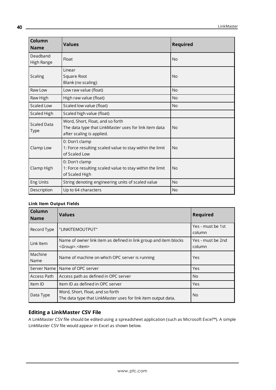<span id="page-39-2"></span><span id="page-39-1"></span>

| Column<br><b>Name</b>             | <b>Values</b>                                                                                                          | <b>Required</b> |
|-----------------------------------|------------------------------------------------------------------------------------------------------------------------|-----------------|
| Deadband<br>High Range            | Float                                                                                                                  | <b>No</b>       |
| <b>Scaling</b>                    | Linear<br>Square Root<br>Blank (no scaling)                                                                            | <b>No</b>       |
| Raw Low                           | Low raw value (float)                                                                                                  | <b>No</b>       |
| Raw High                          | High raw value (float)                                                                                                 | <b>No</b>       |
| Scaled Low                        | Scaled low value (float)                                                                                               | <b>No</b>       |
| Scaled High                       | Scaled high value (float)                                                                                              |                 |
| <b>Scaled Data</b><br><b>Type</b> | Word, Short, Float, and so forth<br>The data type that LinkMaster uses for link item data<br>after scaling is applied. | <b>No</b>       |
| Clamp Low                         | 0: Don't clamp<br>1: Force resulting scaled value to stay within the limit<br>of Scaled Low                            | <b>No</b>       |
| Clamp High                        | 0: Don't clamp<br>1: Force resulting scaled value to stay within the limit<br>of Scaled High                           | <b>No</b>       |
| Eng Units                         | String denoting engineering units of scaled value                                                                      | No              |
| Description                       | Up to 64 characters                                                                                                    | <b>No</b>       |

#### <span id="page-39-0"></span>**Link Item Output Fields**

| Column<br><b>Name</b> | <b>Values</b>                                                                                     | Required                    |
|-----------------------|---------------------------------------------------------------------------------------------------|-----------------------------|
| Record Type           | "LINKITEMOUTPUT"                                                                                  | Yes - must be 1st<br>column |
| Link Item             | Name of owner link item as defined in link group and item blocks<br><group>.<item></item></group> | Yes - must be 2nd<br>column |
| Machine<br>Name       | Name of machine on which OPC server is running                                                    | Yes                         |
| Server Name           | Name of OPC server                                                                                | Yes                         |
| Access Path           | Access path as defined in OPC server                                                              | N <sub>o</sub>              |
| Item ID               | Item ID as defined in OPC server                                                                  | <b>Yes</b>                  |
| Data Type             | Word, Short, Float, and so forth<br>The data type that LinkMaster uses for link item output data. | <b>No</b>                   |

# **Editing a LinkMaster CSV File**

A LinkMaster CSV file should be edited using a spreadsheet application (such as Microsoft Excel™). A simple LinkMaster CSV file would appear in Excel as shown below.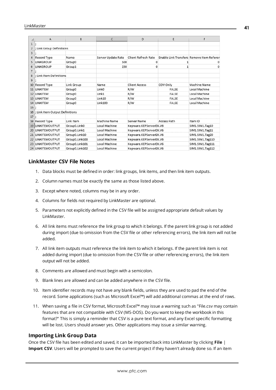| ◢              | A                              | B              | C                  | D                                          | E            | F                                         |
|----------------|--------------------------------|----------------|--------------------|--------------------------------------------|--------------|-------------------------------------------|
| $\mathbf{1}$   | ı:                             |                |                    |                                            |              |                                           |
| 2              | ; Link Group Definitions       |                |                    |                                            |              |                                           |
| 3              |                                |                |                    |                                            |              |                                           |
| $\overline{4}$ | <b>Record Type</b>             | Name           | Server Update Rate | Client Refresh Rate                        |              | Enable Link Transfers Remove Item Referer |
| 5              | <b>LINKGROUP</b>               | Group0         | 500                |                                            |              |                                           |
| 6              | <b>LINKGROUP</b>               | Group1         | 250                | o                                          | 1            | o                                         |
| $\overline{7}$ |                                |                |                    |                                            |              |                                           |
| 8              | : Link Item Definitions        |                |                    |                                            |              |                                           |
| 9              |                                |                |                    |                                            |              |                                           |
| 10             | Record Type                    | Link Group     | Name               | <b>Client Access</b>                       | COV Only     | Machine Name                              |
| 11             | LINKITEM                       | Group0         | Link <sub>0</sub>  | R/W                                        | <b>FALSE</b> | Local Machine                             |
| 12             | LINKITEM                       | Group0         | Link1              | R/W                                        | FALSE        | Local Machine                             |
|                | 13 LINKITEM                    | Group0         | Link10             | R/W                                        | FALSE        | Local Machine                             |
|                | 14 LINKITEM                    | Group0         | <b>Link100</b>     | R/W<br><b>FALSE</b>                        |              | Local Machine                             |
| 15             |                                |                |                    |                                            |              |                                           |
| 16             | ; Link Item Output Definitions |                |                    |                                            |              |                                           |
| 17             |                                |                |                    |                                            |              |                                           |
|                | 18 Record Type                 | Link Item      | Machine Name       | Server Name                                | Access Path  | Item ID                                   |
| 19             | <b>LINKITEMOUTPUT</b>          | Group0.Link0   | Local Machine      | Kepware.KEPServerEX.V6                     |              | SIM1.SIM1.Tag10                           |
| 20             | LINKITEMOUTPUT                 | Group0.Link1   | Local Machine      | Kepware.KEPServerEX.V6                     |              | SIM1.SIM1.Tag11                           |
| 21             | <b>LINKITEMOUTPUT</b>          | Group0.Link10  | Local Machine      | Kepware.KEPServerEX.V6                     |              | SIM1.SIM1.Tag20                           |
| 22             | <b>LINKITEMOUTPUT</b>          | Group0.Link100 | Local Machine      | Kepware.KEPServerEX.V6                     |              | SIM1.SIM1.Tag110                          |
| 23             | <b>LINKITEMOUTPUT</b>          | Group0.Link101 | Local Machine      | Kepware.KEPServerEX.V6                     |              | SIM1.SIM1.Tag111                          |
|                | 24 LINKITEMOUTPUT              | Group0.Link102 | Local Machine      | Kepware.KEPServerEX.V6<br>SIM1.SIM1.Tag112 |              |                                           |

#### **LinkMaster CSV File Notes**

- 1. Data blocks must be defined in order: link groups, link items, and then link item outputs.
- 2. Column names must be exactly the same as those listed above.
- 3. Except where noted, columns may be in any order.
- 4. Columns for fields not required by LinkMaster are optional.
- 5. Parameters not explicitly defined in the CSV file will be assigned appropriate default values by LinkMaster.
- 6. All link items must reference the link group to which it belongs. If the parent link group is not added during import (due to omission from the CSV file or other referencing errors), the link item will not be added.
- 7. All link item outputs must reference the link item to which it belongs. If the parent link item is not added during import (due to omission from the CSV file or other referencing errors), the link item output will not be added.
- 8. Comments are allowed and must begin with a semicolon.
- 9. Blank lines are allowed and can be added anywhere in the CSV file.
- 10. Item identifier records may not have any blank fields, unless they are used to pad the end of the record. Some applications (such as Microsoft Excel™) will add additional commas at the end of rows.
- 11. When saving a file in CSV format, Microsoft Excel™ may issue a warning such as "File.csv may contain features that are not compatible with CSV (MS-DOS). Do you want to keep the workbook in this format?" This is simply a reminder that CSV is a pure text format, and any Excel specific formatting will be lost. Users should answer yes. Other applications may issue a similar warning.

#### **Importing Link Group Data**

Once the CSV file has been edited and saved, it can be imported back into LinkMaster by clicking **File** | **Import CSV**. Users will be prompted to save the current project if they haven't already done so. If an item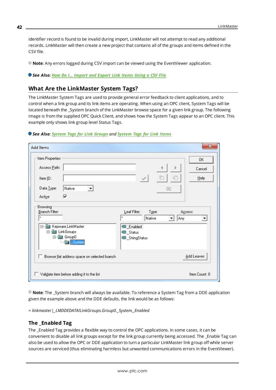identifier record is found to be invalid during import, LinkMaster will not attempt to read any additional records. LinkMaster will then create a new project that contains all of the groups and items defined in the CSV file.

**Note**: Any errors logged during CSV import can be viewed using the EventViewer application.

<span id="page-41-0"></span>*See Also: How Do I... [Import](#page-56-0) and Export Link Items Using a CSV File*

# **What Are the LinkMaster System Tags?**

The LinkMaster System Tags are used to provide general error feedback to client applications, and to control when a link group and its link items are operating. When using an OPC client, System Tags will be located beneath the \_System branch of the LinkMaster browse space for a given link group. The following image is from the supplied OPC Quick Client, and shows how the System Tags appear to an OPC client. This example only shows link group level Status Tags.

| See Also: System Tags for Link Groups and System Tags for Link Items |  |  |  |  |  |  |
|----------------------------------------------------------------------|--|--|--|--|--|--|
|----------------------------------------------------------------------|--|--|--|--|--|--|

| <b>Add Items</b>                                                                                                      | $\mathbf x$                                                                                                                                   |
|-----------------------------------------------------------------------------------------------------------------------|-----------------------------------------------------------------------------------------------------------------------------------------------|
| Item Properties<br>Access Path:<br>Item ID:<br>Data Type:<br>Native<br>$\blacktriangledown$<br>⊽<br>Active            | 0K.<br>Cancel<br>꽚<br>e<br>$\omega^{\rho}$<br>Help<br>∞                                                                                       |
| Browsing-<br>Branch Filter:<br>×<br>Kepware.LinkMaster<br>日 1<br>LinkGroups<br>日・鹽<br>Group0<br>Ėŀ<br><b>a</b> System | Type:<br>Leaf Filter:<br>Access:<br>$\boldsymbol{\times}$<br>Native<br>Any<br>▼<br>▼<br><b>B</b> _Enabled<br><b>■</b> _Status<br>StringStatus |
| Browse flat address space on selected branch<br>ш                                                                     | Add Leaves                                                                                                                                    |
| Validate item before adding it to the list                                                                            | Item Count: 0                                                                                                                                 |

**Note**: The \_System branch will always be available. To reference a System Tag from a DDE application given the example above and the DDE defaults, the link would be as follows:

*= linkmaster|\_LMDDEDATA!LinkGroups.Group0.\_System.\_Enabled*

#### **The \_Enabled Tag**

The \_Enabled Tag provides a flexible way to control the OPC applications. In some cases, it can be convenient to disable all link groups except for the link group currently being accessed. The \_Enable Tag can also be used to allow the OPC or DDE application to turn a particular LinkMaster link group off while server sources are serviced (thus eliminating harmless but unwanted communications errors in the EventViewer).

**42**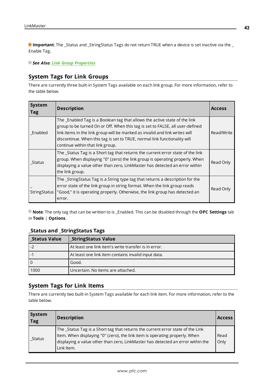**Important**: The \_Status and \_StringStatus Tags do not return TRUE when a device is set inactive via the \_ Enable Tag.

<span id="page-42-0"></span>*See Also: Link Group [Properties](#page-29-2)*

# **System Tags for Link Groups**

There are currently three built-in System Tags available on each link group. For more information, refer to the table below.

| <b>System</b><br>Tag | <b>Description</b>                                                                                                                                                                                                                                                                                                                                          | <b>Access</b> |
|----------------------|-------------------------------------------------------------------------------------------------------------------------------------------------------------------------------------------------------------------------------------------------------------------------------------------------------------------------------------------------------------|---------------|
| Enabled              | The _Enabled Tag is a Boolean tag that allows the active state of the link<br>group to be turned On or Off. When this tag is set to FALSE, all user-defined<br>link items in the link group will be marked as invalid and link writes will<br>discontinue. When this tag is set to TRUE, normal link functionality will<br>continue within that link group. | Read/Write    |
| Status               | The _Status Tag is a Short tag that returns the current error state of the link<br>group. When displaying "0" (zero) the link group is operating properly. When<br>displaying a value other than zero, LinkMaster has detected an error within<br>the link group.                                                                                           | Read Only     |
| StringStatus         | The _StringStatus Tag is a String type tag that returns a description for the<br>error state of the link group in string format. When the link group reads<br>"Good," it is operating properly. Otherwise, the link group has detected an<br>error.                                                                                                         | Read Only     |

<span id="page-42-2"></span>**Note**: The only tag that can be written to is \_Enabled. This can be disabled through the **OPC Settings** tab in **Tools** | **Options**.

#### **\_Status and \_StringStatus Tags**

| <b>Status Value</b>              | <b>StringStatus Value</b>                            |
|----------------------------------|------------------------------------------------------|
| $\overline{ \cdot \cdot \cdot }$ | At least one link item's write transfer is in error. |
| l -1                             | At least one link item contains invalid input data.  |
| l 0                              | Good.                                                |
| 1000                             | Uncertain. No items are attached.                    |

# <span id="page-42-1"></span>**System Tags for Link Items**

There are currently two built-in System Tags available for each link item. For more information, refer to the table below.

| <b>System</b><br>Tag | <b>Description</b>                                                                                                                                                                                                                                              | <b>Access</b> |
|----------------------|-----------------------------------------------------------------------------------------------------------------------------------------------------------------------------------------------------------------------------------------------------------------|---------------|
| Status               | The _Status Tag is a Short tag that returns the current error state of the Link<br>Item. When displaying "0" (zero), the link item is operating properly. When<br>displaying a value other than zero, LinkMaster has detected an error within the<br>Link Item. | Read<br>Only  |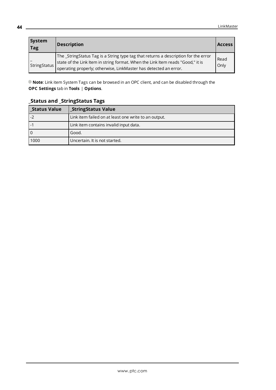| <b>System</b><br> Tag | <b>Description</b>                                                                                                                                                                                                                         | <b>Access</b> |
|-----------------------|--------------------------------------------------------------------------------------------------------------------------------------------------------------------------------------------------------------------------------------------|---------------|
| StringStatus          | The _StringStatus Tag is a String type tag that returns a description for the error<br>state of the Link Item in string format. When the Link Item reads "Good," it is<br>operating properly; otherwise, LinkMaster has detected an error. | Read<br>Only  |

**Note**: Link item System Tags can be browsed in an OPC client, and can be disabled through the **OPC Settings** tab in **Tools** | **Options**.

# **\_Status and \_StringStatus Tags**

| Status Value                | <b>StringStatus Value</b>                            |  |  |
|-----------------------------|------------------------------------------------------|--|--|
| $\overline{\phantom{0}}$ -2 | Link item failed on at least one write to an output. |  |  |
| l -1                        | Link item contains invalid input data.               |  |  |
| l 0                         | Good.                                                |  |  |
| 1000                        | Uncertain. It is not started.                        |  |  |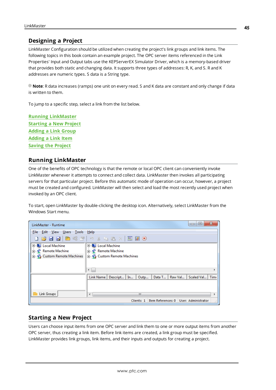# <span id="page-44-0"></span>**Designing a Project**

LinkMaster Configuration should be utilized when creating the project's link groups and link items. The following topics in this book contain an example project. The OPC server items referenced in the Link Properties' Input and Output tabs use the KEPServerEX Simulator Driver, which is a memory-based driver that provides both static and changing data. It supports three types of addresses: R, K, and S. R and K addresses are numeric types. S data is a String type.

**Note**: R data increases (ramps) one unit on every read. S and K data are constant and only change if data is written to them.

To jump to a specific step, select a link from the list below.

**Running [LinkMaster](#page-44-1) [Starting](#page-44-2) a New Project [Adding](#page-45-0) a Link Group [Adding](#page-47-0) a Link Item Saving the [Project](#page-53-0)**

#### <span id="page-44-1"></span>**Running LinkMaster**

One of the benefits of OPC technology is that the remote or local OPC client can conveniently invoke LinkMaster whenever it attempts to connect and collect data. LinkMaster then invokes all participating servers for that particular project. Before this automatic mode of operation can occur, however, a project must be created and configured. LinkMaster will then select and load the most recently used project when invoked by an OPC client.

To start, open LinkMaster by double-clicking the desktop icon. Alternatively, select LinkMaster from the Windows Start menu.

| LinkMaster - Runtime                    | x<br>E<br>$\Box$                                                             |
|-----------------------------------------|------------------------------------------------------------------------------|
| Edit View Users<br>Tools<br><b>File</b> | Help                                                                         |
|                                         |                                                                              |
| <b>E-</b> Local Machine                 | <b>E Local Machine</b>                                                       |
| 由 P Remote Machine                      | 由 P Remote Machine                                                           |
| <b>E</b> Custom Remote Machines         | <b>E.</b> Custom Remote Machines                                             |
|                                         |                                                                              |
|                                         |                                                                              |
|                                         | $\leftarrow$                                                                 |
|                                         | Data T<br>Scaled Val   Time<br>Raw Val<br>Descript   In<br>Outp<br>Link Name |
|                                         |                                                                              |
|                                         |                                                                              |
| Link Groups                             | Ш<br>∢                                                                       |
|                                         |                                                                              |
|                                         | Item References: 0   User: Administrator<br>Clients: 1<br>ai.                |

# <span id="page-44-2"></span>**Starting a New Project**

Users can choose input items from one OPC server and link them to one or more output items from another OPC server, thus creating a link item. Before link items are created, a link group must be specified. LinkMaster provides link groups, link items, and their inputs and outputs for creating a project.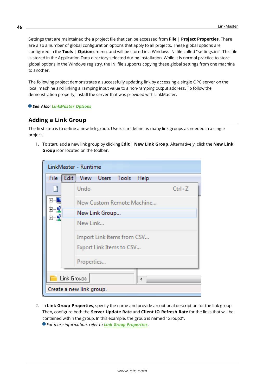Settings that are maintained the a project file that can be accessed from **File** | **Project Properties**. There are also a number of global configuration options that apply to all projects. These global options are configured in the **Tools** | **Options** menu, and will be stored in a Windows INI file called "settings.ini". This file is stored in the Application Data directory selected during installation. While it is normal practice to store global options in the Windows registry, the INI file supports copying these global settings from one machine to another.

<span id="page-45-2"></span>The following project demonstrates a successfully updating link by accessing a single OPC server on the local machine and linking a ramping input value to a non-ramping output address. To follow the demonstration properly, install the server that was provided with LinkMaster.

#### <span id="page-45-0"></span>*See Also: [LinkMaster](#page-19-0) Options*

# **Adding a Link Group**

The first step is to define a new link group. Users can define as many link groups as needed in a single project.

1. To start, add a new link group by clicking **Edit** | **New Link Group**. Alternatively, click the **New Link Group** icon located on the toolbar.

| LinkMaster - Runtime     |                                    |            |  |  |
|--------------------------|------------------------------------|------------|--|--|
| File                     | Edit  <br>View Users Tools<br>Help |            |  |  |
|                          | Undo                               | $Ctrl + Z$ |  |  |
| $\overline{+}$           | New Custom Remote Machine          |            |  |  |
|                          | New Link Group                     |            |  |  |
|                          | New Link                           |            |  |  |
|                          | Import Link Items from CSV         |            |  |  |
|                          | Export Link Items to CSV           |            |  |  |
| Properties               |                                    |            |  |  |
| Link Groups<br>4         |                                    |            |  |  |
| Create a new link group. |                                    |            |  |  |

<span id="page-45-1"></span>2. In **Link Group Properties**, specify the name and provide an optional description for the link group. Then, configure both the **Server Update Rate** and **Client IO Refresh Rate** for the links that will be contained within the group. In this example, the group is named "Group0".

*For more information, refer to Link Group [Properties](#page-29-2)*.

**46**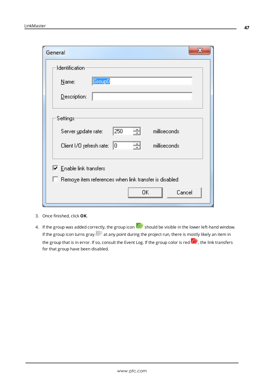| X.<br>General                                                |  |  |  |  |
|--------------------------------------------------------------|--|--|--|--|
| Identification                                               |  |  |  |  |
| Group0<br>Name:                                              |  |  |  |  |
| Description:                                                 |  |  |  |  |
| Settings                                                     |  |  |  |  |
| 싁<br>250<br>milliseconds<br>Server update rate:              |  |  |  |  |
| 쉬<br>Client I/O refresh rate: 0<br>milliseconds              |  |  |  |  |
| $\triangledown$ Enable link transfers                        |  |  |  |  |
| $\Box$ Remove item references when link transfer is disabled |  |  |  |  |
| Cancel<br>0K                                                 |  |  |  |  |

<span id="page-46-0"></span>3. Once finished, click **OK**.

4. If the group was added correctly, the group icon  $\overline{\mathbb{R}}$  should be visible in the lower left-hand window. If the group icon turns gray  $\alpha$  at any point during the project run, there is mostly likely an item in the group that is in error. If so, consult the Event Log. If the group color is red **Fig.**, the link transfers for that group have been disabled.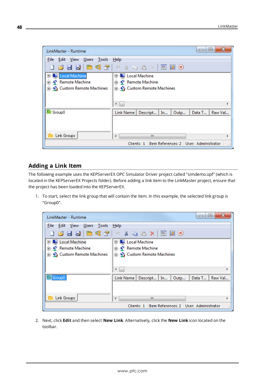

#### <span id="page-47-0"></span>**Adding a Link Item**

The following example uses the KEPServerEX OPC Simulator Driver project called "simdemo.opf" (which is located in the KEPServerEX Projects folder). Before adding a link item to the LinkMaster project, ensure that the project has been loaded into the KEPServerEX.

1. To start, select the link group that will contain the item. In this example, the selected link group is "Group0".



2. Next, click **Edit** and then select **New Link**. Alternatively, click the **New Link** icon located on the toolbar.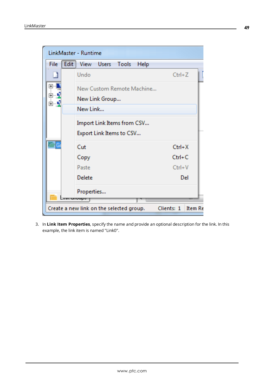| LinkMaster - Runtime                                   |                                            |                              |  |  |
|--------------------------------------------------------|--------------------------------------------|------------------------------|--|--|
| <b>File</b>                                            | <b>Edit</b><br>View Users<br>Tools<br>Help |                              |  |  |
|                                                        | Undo                                       | $Ctrl + Z$                   |  |  |
| ⊞                                                      | New Custom Remote Machine                  |                              |  |  |
| Ţ<br>Ė                                                 | New Link Group                             |                              |  |  |
|                                                        | New Link                                   |                              |  |  |
| Import Link Items from CSV<br>Export Link Items to CSV |                                            |                              |  |  |
|                                                        |                                            |                              |  |  |
|                                                        | Copy                                       | $Ctrl + C$                   |  |  |
|                                                        | Paste                                      | $Ctrl + V$                   |  |  |
|                                                        | <b>Delete</b>                              | Del                          |  |  |
|                                                        | Properties                                 |                              |  |  |
|                                                        | ann uruupo                                 |                              |  |  |
|                                                        | Create a new link on the selected group.   | Clients: 1<br><b>Item Re</b> |  |  |

3. In **Link Item Properties**, specify the name and provide an optional description for the link. In this example, the link item is named "Link0".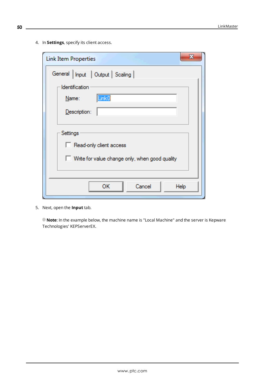4. In **Settings**, specify its client access.

| X<br><b>Link Item Properties</b>               |
|------------------------------------------------|
| General   Input   Output   Scaling             |
| - Identification                               |
| Link <sub>0</sub><br>Name:                     |
| Description:                                   |
|                                                |
| Settings                                       |
| Read-only client access                        |
| Write for value change only, when good quality |
|                                                |
| Cancel<br>ок<br>Help                           |

<span id="page-49-0"></span>5. Next, open the **Input** tab.

**Note**: In the example below, the machine name is "Local Machine" and the server is Kepware Technologies' KEPServerEX.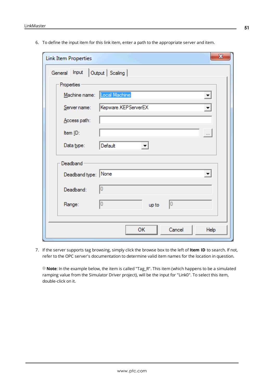6. To define the input item for this link item, enter a path to the appropriate server and item.

| $\mathbf{x}$<br><b>Link Item Properties</b>                 |  |  |  |  |
|-------------------------------------------------------------|--|--|--|--|
| Output   Scaling  <br>General Input                         |  |  |  |  |
| Properties                                                  |  |  |  |  |
| Machine name:   Local Machine                               |  |  |  |  |
| Kepware.KEPServerEX<br>Server name:<br>$\blacktriangledown$ |  |  |  |  |
| Access path:                                                |  |  |  |  |
| Item ID:<br>$\ldots$                                        |  |  |  |  |
| Default<br>Data type:<br>$\overline{\phantom{a}}$           |  |  |  |  |
| Deadband                                                    |  |  |  |  |
| Deadband type: None<br>$\vert \mathbf{v} \vert$             |  |  |  |  |
| Ω<br>Deadband:                                              |  |  |  |  |
| 0<br>10<br>Range:<br>up to                                  |  |  |  |  |
|                                                             |  |  |  |  |
| Cancel<br>OK<br>Help                                        |  |  |  |  |

<span id="page-50-0"></span>7. If the server supports tag browsing, simply click the browse box to the left of **Item ID** to search. If not, refer to the OPC server's documentation to determine valid item names for the location in question.

**Note**: In the example below, the item is called "Tag\_R". This item (which happens to be a simulated ramping value from the Simulator Driver project), will be the input for "Link0". To select this item, double-click on it.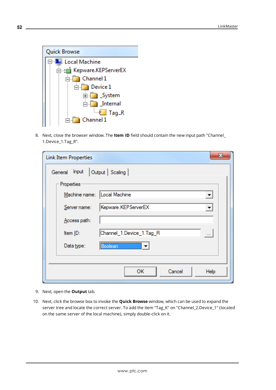

8. Next, close the browser window. The **Item ID** field should contain the new input path "Channel\_ 1.Device\_1.Tag\_R".

| x<br><b>Link Item Properties</b>                 |  |  |  |  |
|--------------------------------------------------|--|--|--|--|
| Output   Scaling  <br>General Input              |  |  |  |  |
| Properties                                       |  |  |  |  |
| Machine name: Local Machine                      |  |  |  |  |
| Kepware.KEPServerEX<br>Server name:              |  |  |  |  |
| Access path:                                     |  |  |  |  |
| Channel_1.Device_1.Tag_R<br>Item ID:<br>$\cdots$ |  |  |  |  |
| Data type:<br>Boolean                            |  |  |  |  |
|                                                  |  |  |  |  |
| Cancel<br>OК<br>Help                             |  |  |  |  |

- <span id="page-51-0"></span>9. Next, open the **Output** tab.
- 10. Next, click the browse box to invoke the **Quick Browse** window, which can be used to expand the server tree and locate the correct server. To add the item "Tag\_K" on "Channel\_2.Device\_1" (located on the same server of the local machine), simply double-click on it.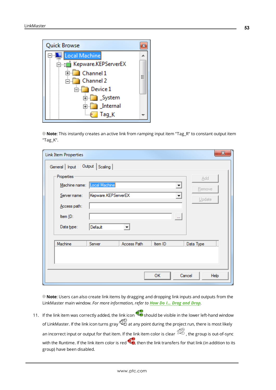

**Note**: This instantly creates an active link from ramping input item "Tag\_R" to constant output item "Tag\_K".

| <b>Link Item Properties</b> |                             |                      |                      | $\mathbf{x}$   |
|-----------------------------|-----------------------------|----------------------|----------------------|----------------|
| General   Input             | Output   Scaling            |                      |                      |                |
| Properties                  |                             |                      |                      | Add            |
|                             | Machine name: Local Machine |                      | ▼                    | <b>Remove</b>  |
| Server name:                | Kepware.KEPServerEX         |                      | $\blacktriangledown$ | Update         |
| Access path:                |                             |                      |                      |                |
| Item ID:<br>Data type:      | Default                     | $\blacktriangledown$ | $\cdots$             |                |
|                             |                             |                      |                      |                |
| Machine                     | Server                      | Access Path          | Item ID              | Data Type      |
|                             |                             |                      |                      |                |
|                             |                             |                      |                      |                |
|                             |                             |                      | OK                   | Cancel<br>Help |

<span id="page-52-0"></span>**Note**: Users can also create link items by dragging and dropping link inputs and outputs from the LinkMaster main window. *For more information, refer to How Do I... Drag and [Drop](#page-55-0).*

11. If the link item was correctly added, the link icon  $\mathbb{C}^{\bullet}$  should be visible in the lower left-hand window of LinkMaster. If the link icon turns gray  $\Phi_{\Box}^{\Box}$  at any point during the project run, there is most likely an incorrect input or output for that item. If the link item color is clear  $\mathbb{Z}$ , the group is out-of-sync with the Runtime. If the link item color is red  $\bullet$ , then the link transfers for that link (in addition to its group) have been disabled.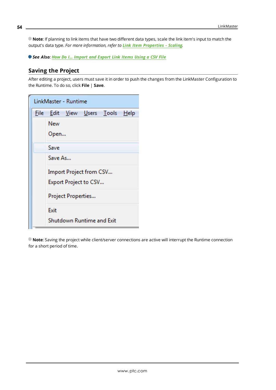**Note**: If planning to link items that have two different data types, scale the link item's input to match the output's data type. *For more information, refer to Link Item [Properties](#page-36-0) - Scaling.*

<span id="page-53-0"></span>*See Also: How Do I... [Import](#page-56-0) and Export Link Items Using a CSV File*

#### **Saving the Project**

After editing a project, users must save it in order to push the changes from the LinkMaster Configuration to the Runtime. To do so, click **File** | **Save**.

| LinkMaster - Runtime |                                  |  |  |  |
|----------------------|----------------------------------|--|--|--|
|                      | File Edit View Users Tools Help  |  |  |  |
|                      | New                              |  |  |  |
|                      | Open                             |  |  |  |
|                      | Save                             |  |  |  |
|                      | Save As                          |  |  |  |
|                      | Import Project from CSV          |  |  |  |
|                      | Export Project to CSV            |  |  |  |
|                      | Project Properties               |  |  |  |
|                      | Exit                             |  |  |  |
|                      | <b>Shutdown Runtime and Exit</b> |  |  |  |

**Note**: Saving the project while client/server connections are active will interrupt the Runtime connection for a short period of time.

**54**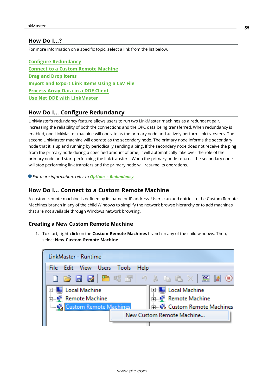#### <span id="page-54-0"></span>**How Do I...?**

For more information on a specific topic, select a link from the list below.

<span id="page-54-3"></span>**Configure [Redundancy](#page-54-1) Connect to a Custom Remote [Machine](#page-54-2) Drag and Drop [Items](#page-55-0) [Import](#page-56-0) and Export Link Items Using a CSV File [Process](#page-58-0) Array Data in a DDE Client Use Net DDE with [LinkMaster](#page-59-0)**

# <span id="page-54-4"></span><span id="page-54-1"></span>**How Do I... Configure Redundancy**

LinkMaster's redundancy feature allows users to run two LinkMaster machines as a redundant pair, increasing the reliability of both the connections and the OPC data being transferred. When redundancy is enabled, one LinkMaster machine will operate as the primary node and actively perform link transfers. The second LinkMaster machine will operate as the secondary node. The primary node informs the secondary node that it is up and running by periodically sending a ping. If the secondary node does not receive the ping from the primary node during a specified amount of time, it will automatically take over the role of the primary node and start performing the link transfers. When the primary node returns, the secondary node will stop performing link transfers and the primary node will resume its operations.

<span id="page-54-5"></span><span id="page-54-2"></span>*For more information, refer to Options - [Redundancy](#page-25-0).*

#### **How Do I... Connect to a Custom Remote Machine**

A custom remote machine is defined by its name or IP address. Users can add entries to the Custom Remote Machines branch in any of the child Windows to simplify the network browse hierarchy or to add machines that are not available through Windows network browsing.

#### **Creating a New Custom Remote Machine**

1. To start, right-click on the **Custom Remote Machines** branch in any of the child windows. Then, select **New Custom Remote Machine**.

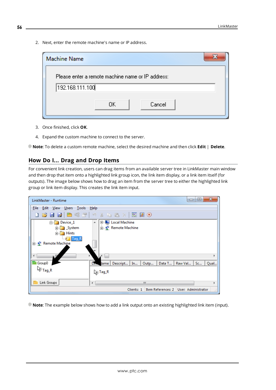2. Next, enter the remote machine's name or IP address.

| <b>Machine Name</b> |                                                   |  |
|---------------------|---------------------------------------------------|--|
|                     | Please enter a remote machine name or IP address: |  |
| 192.168.111.100     |                                                   |  |
|                     | Cancel<br>0K.                                     |  |

- 3. Once finished, click **OK**.
- 4. Expand the custom machine to connect to the server.

<span id="page-55-0"></span>**Note**: To delete a custom remote machine, select the desired machine and then click **Edit** | **Delete**.

# **How Do I... Drag and Drop Items**

For convenient link creation, users can drag items from an available server tree in LinkMaster main window and then drop that item onto a highlighted link group icon, the link item display, or a link item itself (for outputs). The image below shows how to drag an item from the server tree to either the highlighted link group or link item display. This creates the link item input.



**Note**: The example below shows how to add a link output onto an existing highlighted link item (input).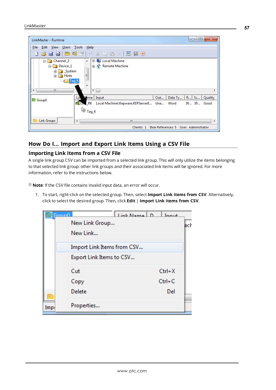| LinkMaster - Runtime                                                                         | х<br>▣<br>$\qquad \qquad \Box$                                                                                                                                                     |
|----------------------------------------------------------------------------------------------|------------------------------------------------------------------------------------------------------------------------------------------------------------------------------------|
| Edit View Users<br>File                                                                      | Tools Help                                                                                                                                                                         |
|                                                                                              | <b>DBBBBS</b> 7 9 % もさ× 照明9                                                                                                                                                        |
| <b>E</b> Channel 2<br>Device_1<br><b>E</b> System<br><b>E</b> Hints<br><b>Example 7</b> ag_K | <b>E-Local Machine</b><br>$\mathbb{A}$ .<br><b>E</b> Remote Machine<br>Ξ<br>٠                                                                                                      |
| m.<br>∢                                                                                      | $\leftarrow$                                                                                                                                                                       |
| Group0                                                                                       | Mime   Input<br>Lin<br>Data Ty<br>$R \mid Sc \mid$<br>Out<br>Quality<br><b>Example 25 Cive</b> : RK Local Machine\Kepware.KEPServerE Una Word<br>30 30 Good<br>√े <sub>Tag_K</sub> |
| Link Groups                                                                                  | Ш<br>∢                                                                                                                                                                             |
|                                                                                              | Item References: 5   User: Administrator<br>Clients: 1<br>A.                                                                                                                       |

# <span id="page-56-0"></span>**How Do I... Import and Export Link Items Using a CSV File**

#### **Importing Link Items from a CSV File**

A single link group CSV can be imported from a selected link group. This will only utilize the items belonging to that selected link group: other link groups and their associated link items will be ignored. For more information, refer to the instructions below.

**Note**: If the CSV file contains invalid input data, an error will occur.

1. To start, right-click on the selected group. Then, select **Import Link items from CSV**. Alternatively, click to select the desired group. Then, click **Edit** | **Import Link items from CSV**.

|      | <u>Grounft</u> |                            | Link Name D | Innut      |     |
|------|----------------|----------------------------|-------------|------------|-----|
|      |                | New Link Group             |             |            | ach |
|      |                | New Link                   |             |            |     |
|      |                | Import Link Items from CSV |             |            |     |
|      |                | Export Link Items to CSV   |             |            |     |
|      |                | Cut                        |             | $Ctrl+X$   |     |
|      |                | Copy                       |             | $Ctrl + C$ |     |
|      |                | Delete                     |             | Del        |     |
| Imp. |                | Properties                 |             |            |     |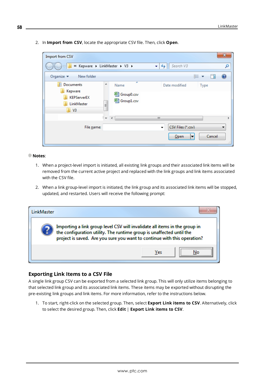2. In **Import from CSV**, locate the appropriate CSV file. Then, click **Open**.

| Import from CSV                                                          |                                                     |                                                                               | x              |
|--------------------------------------------------------------------------|-----------------------------------------------------|-------------------------------------------------------------------------------|----------------|
|                                                                          | « Kepware > LinkMaster > V3 >                       | $+$<br>Search V3<br>▾т                                                        | α              |
| Organize $\blacktriangledown$<br>New folder                              |                                                     | 睚                                                                             |                |
| 目<br>Documents<br>Kepware<br>KEPServerEX<br>LinkMaster<br>V <sub>3</sub> | ▴<br>▴<br>Name<br>图 Group0.csv<br>图 Group1.csv<br>Ξ | Date modified<br>Type                                                         |                |
| File name:                                                               | i w<br>∢                                            | Ш<br>CSV Files (*.csv)<br>$\overline{\phantom{a}}$<br>Cancel<br>$O$ pen<br> ▼ | $^{+11}_{-11}$ |

#### **Notes**:

- 1. When a project-level import is initiated, all existing link groups and their associated link items will be removed from the current active project and replaced with the link groups and link items associated with the CSV file.
- 2. When a link group-level import is initiated, the link group and its associated link items will be stopped, updated, and restarted. Users will receive the following prompt:

| l inkMaster.                                                                                                                                                                                                                |     |  |  |
|-----------------------------------------------------------------------------------------------------------------------------------------------------------------------------------------------------------------------------|-----|--|--|
| Importing a link group level CSV will invalidate all items in the group in the configuration utility. The runtime group is unaffected until the<br>project is saved. Are you sure you want to continue with this operation? |     |  |  |
|                                                                                                                                                                                                                             | Yes |  |  |

#### **Exporting Link Items to a CSV File**

A single link group CSV can be exported from a selected link group. This will only utilize items belonging to that selected link group and its associated link items. These items may be exported without disrupting the pre-existing link groups and link items. For more information, refer to the instructions below.

1. To start, right-click on the selected group. Then, select **Export Link items to CSV**. Alternatively, click to select the desired group. Then, click **Edit** | **Export Link items to CSV**.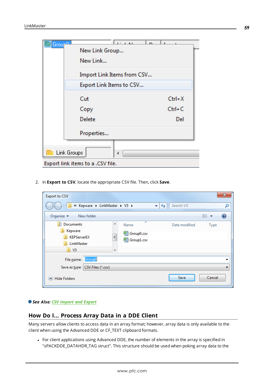| <b>Grou</b>                       | <b>LE LENE</b>                                         |            |  |  |
|-----------------------------------|--------------------------------------------------------|------------|--|--|
|                                   | New Link Group                                         |            |  |  |
|                                   | New Link                                               |            |  |  |
|                                   | Import Link Items from CSV<br>Export Link Items to CSV |            |  |  |
|                                   |                                                        |            |  |  |
|                                   | Cut                                                    | $Ctrl+X$   |  |  |
|                                   | Copy                                                   | $Ctrl + C$ |  |  |
|                                   | Delete                                                 | Del        |  |  |
|                                   | Properties                                             |            |  |  |
|                                   |                                                        |            |  |  |
|                                   | Link Groups<br>∢                                       |            |  |  |
| Export link items to a .CSV file. |                                                        |            |  |  |

2. In **Export to CSV**, locate the appropriate CSV file. Then, click **Save**.

| <b>Export to CSV</b>                                                                   |                                                        |                        | $\mathbf{x}$ |
|----------------------------------------------------------------------------------------|--------------------------------------------------------|------------------------|--------------|
|                                                                                        | « Kepware > LinkMaster > V3 >                          | Search V3<br>$++$<br>÷ | ρ            |
| Organize $\blacktriangledown$                                                          | New folder                                             |                        | 睚<br>⋒<br>▽  |
| 看<br><b>Documents</b><br>Kepware<br><b>KEPServerEX</b><br>LinkMaster<br>V <sub>3</sub> | ≖<br>۸<br>Name<br>图 Group0.csv<br>E<br>Group1.csv<br>┯ | Date modified          | <b>Type</b>  |
| File name:                                                                             | Group0                                                 |                        | ▼            |
| Save as type:<br><b>Hide Folders</b>                                                   | CSV Files (*.csv)                                      | Save                   | Cancel       |
|                                                                                        |                                                        |                        | иł           |

#### <span id="page-58-0"></span>*See Also: [CSV Import](#page-37-0) and Export*

# **How Do I... Process Array Data in a DDE Client**

Many servers allow clients to access data in an array format; however, array data is only available to the client when using the Advanced DDE or CF\_TEXT clipboard formats.

• For client applications using Advanced DDE, the number of elements in the array is specified in "sPACKDDE\_DATAHDR\_TAG struct". This structure should be used when poking array data to the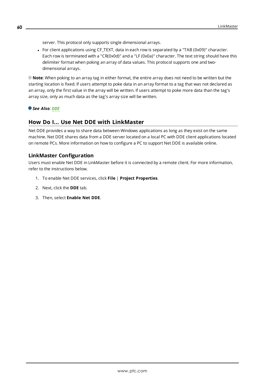server. This protocol only supports single dimensional arrays.

• For client applications using CF\_TEXT, data in each row is separated by a "TAB (0x09)" character. Each row is terminated with a "CR(0x0d)" and a "LF (0x0a)" character. The text string should have this delimiter format when poking an array of data values. This protocol supports one and twodimensional arrays.

**Note**: When poking to an array tag in either format, the entire array does not need to be written but the starting location is fixed. If users attempt to poke data in an array format to a tag that was not declared as an array, only the first value in the array will be written. If users attempt to poke more data than the tag's array size, only as much data as the tag's array size will be written.

#### <span id="page-59-0"></span>*See Also: [DDE](#page-7-2)*

#### **How Do I... Use Net DDE with LinkMaster**

Net DDE provides a way to share data between Windows applications as long as they exist on the same machine. Net DDE shares data from a DDE server located on a local PC with DDE client applications located on remote PCs. More information on how to configure a PC to support Net DDE is available online.

#### <span id="page-59-2"></span><span id="page-59-1"></span>**LinkMaster Configuration**

Users must enable Net DDE in LinkMaster before it is connected by a remote client. For more information, refer to the instructions below.

- 1. To enable Net DDE services, click **File** | **Project Properties**.
- 2. Next, click the **DDE** tab.
- 3. Then, select **Enable Net DDE**.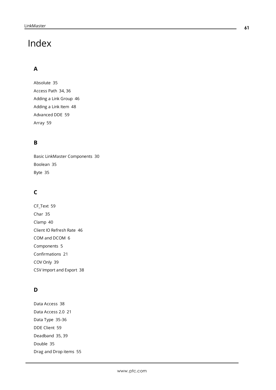# <span id="page-60-0"></span>Index

# **A**

Absolute [35](#page-34-1) Access Path [34](#page-33-0), [36](#page-35-0) Adding a Link Group [46](#page-45-0) Adding a Link Item [48](#page-47-0) Advanced DDE [59](#page-58-0) Array [59](#page-58-0)

# **B**

Basic LinkMaster Components [30](#page-29-0) Boolean [35](#page-34-2) Byte [35](#page-34-3)

# **C**

CF\_Text [59](#page-58-0) Char [35](#page-34-4) Clamp [40](#page-39-0) Client IO Refresh Rate [46](#page-45-1) COM and DCOM [6](#page-5-1) Components [5](#page-4-0) Confirmations [21](#page-20-1) COV Only [39](#page-38-0) CSV Import and Export [38](#page-37-0)

# **D**

Data Access [38](#page-37-1) Data Access 2.0 [21](#page-20-2) Data Type [35-36](#page-34-5) DDE Client [59](#page-58-0) Deadband [35](#page-34-6), [39](#page-38-1) Double [35](#page-34-7) Drag and Drop items [55](#page-54-3)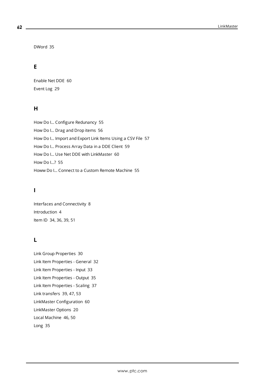DWord [35](#page-34-8)

# **E**

Enable Net DDE [60](#page-59-1) Event Log [29](#page-28-0)

# **H**

How Do I... Configure Redunancy [55](#page-54-1) How Do I... Drag and Drop items [56](#page-55-0) How Do I... Import and Export Link Items Using a CSV File [57](#page-56-0) How Do I... Process Array Data in a DDE Client [59](#page-58-0) How Do I... Use Net DDE with LinkMaster [60](#page-59-0) How Do I...? [55](#page-54-0) Howw Do I... Connect to a Custom Remote Machine [55](#page-54-2)

# **I**

Interfaces and Connectivity [8](#page-7-0) Introduction [4](#page-3-2) Item ID [34,](#page-33-1) [36,](#page-35-1) [39,](#page-38-2) [51](#page-50-0)

# **L**

Link Group Properties [30](#page-29-2) Link Item Properties - General [32](#page-31-1) Link Item Properties - Input [33](#page-32-0) Link Item Properties - Output [35](#page-34-0) Link Item Properties - Scaling [37](#page-36-0) Link transfers [39,](#page-38-3) [47,](#page-46-0) [53](#page-52-0) LinkMaster Configuration [60](#page-59-2) LinkMaster Options [20](#page-19-0) Local Machine [46,](#page-45-2) [50](#page-49-0) Long [35](#page-34-9)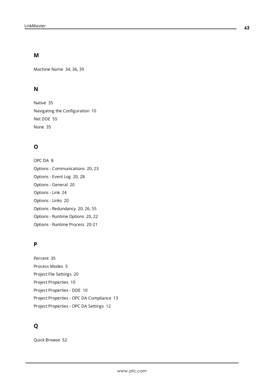# **M**

Machine Name [34,](#page-33-2) [36](#page-35-2), [39](#page-38-4)

# **N**

Native [35](#page-34-10) Navigating the Configuration [10](#page-9-0) Net DDE [55](#page-54-4) None [35](#page-34-11)

# **O**

OPC DA [8](#page-7-1) Options - Communications [20](#page-19-2), [23](#page-22-0) Options - Event Log [20](#page-19-3), [28](#page-27-0) Options - General [20](#page-19-4) Options - Link [24](#page-23-0) Options - Links [20](#page-19-5) Options - Redundancy [20](#page-19-6), [26,](#page-25-0) [55](#page-54-5) Options - Runtime Options [20](#page-19-7), [22](#page-21-0) Options - Runtime Process [20-21](#page-19-8)

# **P**

Percent [35](#page-34-12) Process Modes [5](#page-4-1) Project File Settings [20](#page-19-9) Project Properties [10](#page-9-1) Project Properties - DDE [10](#page-9-2) Project Properties - OPC DA Compliance [13](#page-12-0) Project Properties - OPC DA Settings [12](#page-11-0)

# **Q**

Quick Browse [52](#page-51-0)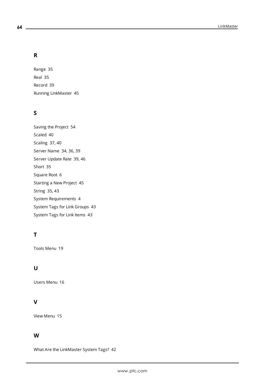# **R**

Range [35](#page-34-13) Real [35](#page-34-14) Record [39](#page-38-5) Running LinkMaster [45](#page-44-1)

# **S**

Saving the Project [54](#page-53-0) Scaled [40](#page-39-1) Scaling [37,](#page-36-0) [40](#page-39-2) Server Name [34](#page-33-3), [36](#page-35-3), [39](#page-38-6) Server Update Rate [39,](#page-38-7) [46](#page-45-1) Short [35](#page-34-15) Square Root [6](#page-5-2) Starting a New Project [45](#page-44-2) String [35](#page-34-16), [43](#page-42-2) System Requirements [4](#page-3-3) System Tags for Link Groups [43](#page-42-0) System Tags for Link Items [43](#page-42-1)

# **T**

Tools Menu [19](#page-18-0)

# **U**

Users Menu [16](#page-15-0)

# **V**

View Menu [15](#page-14-0)

# **W**

What Are the LinkMaster System Tags? [42](#page-41-0)